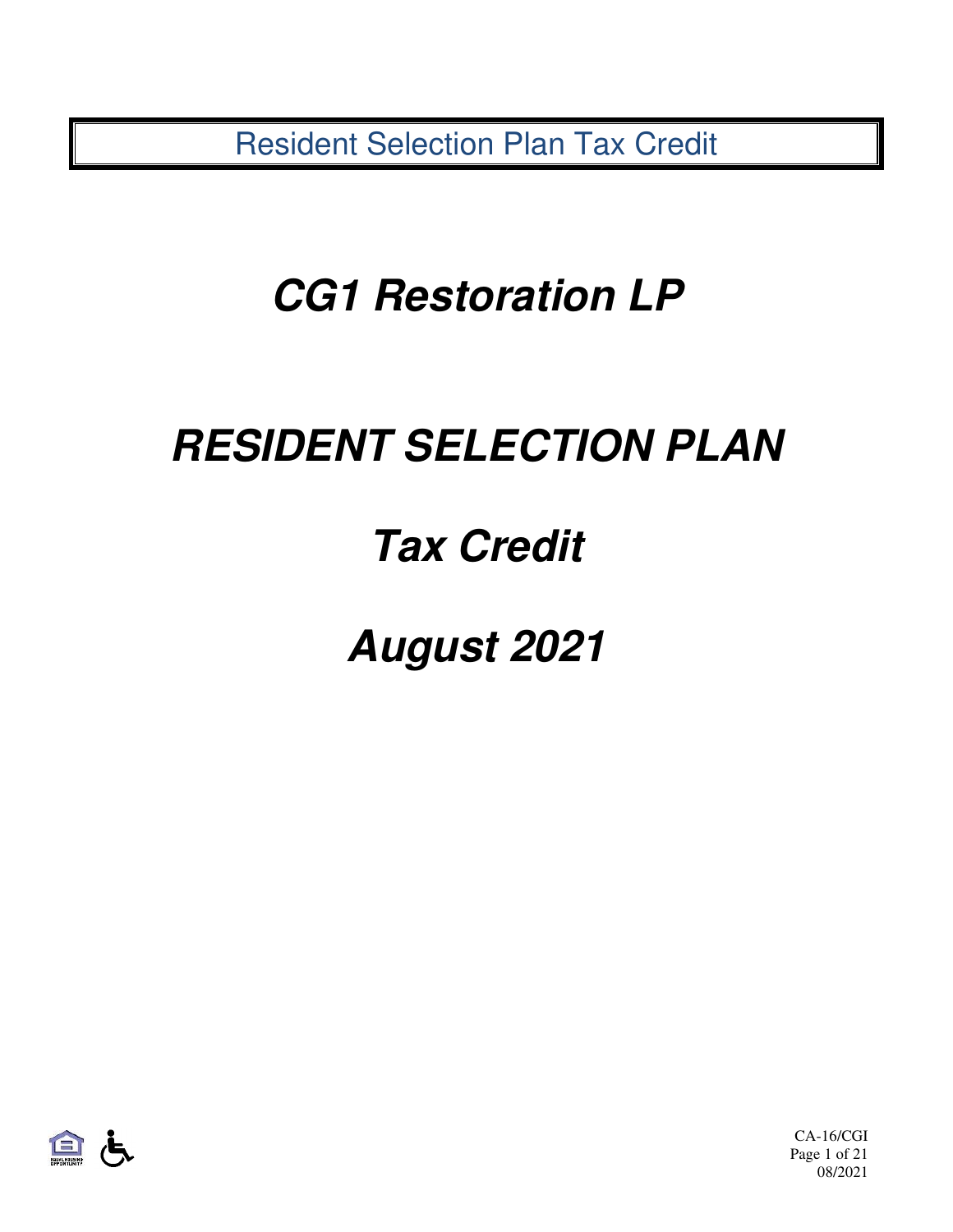Resident Selection Plan Tax Credit

# **CG1 Restoration LP**

# **RESIDENT SELECTION PLAN**

# **Tax Credit**

**August 2021** 



CA-16/CGI Page 1 of 21 08/2021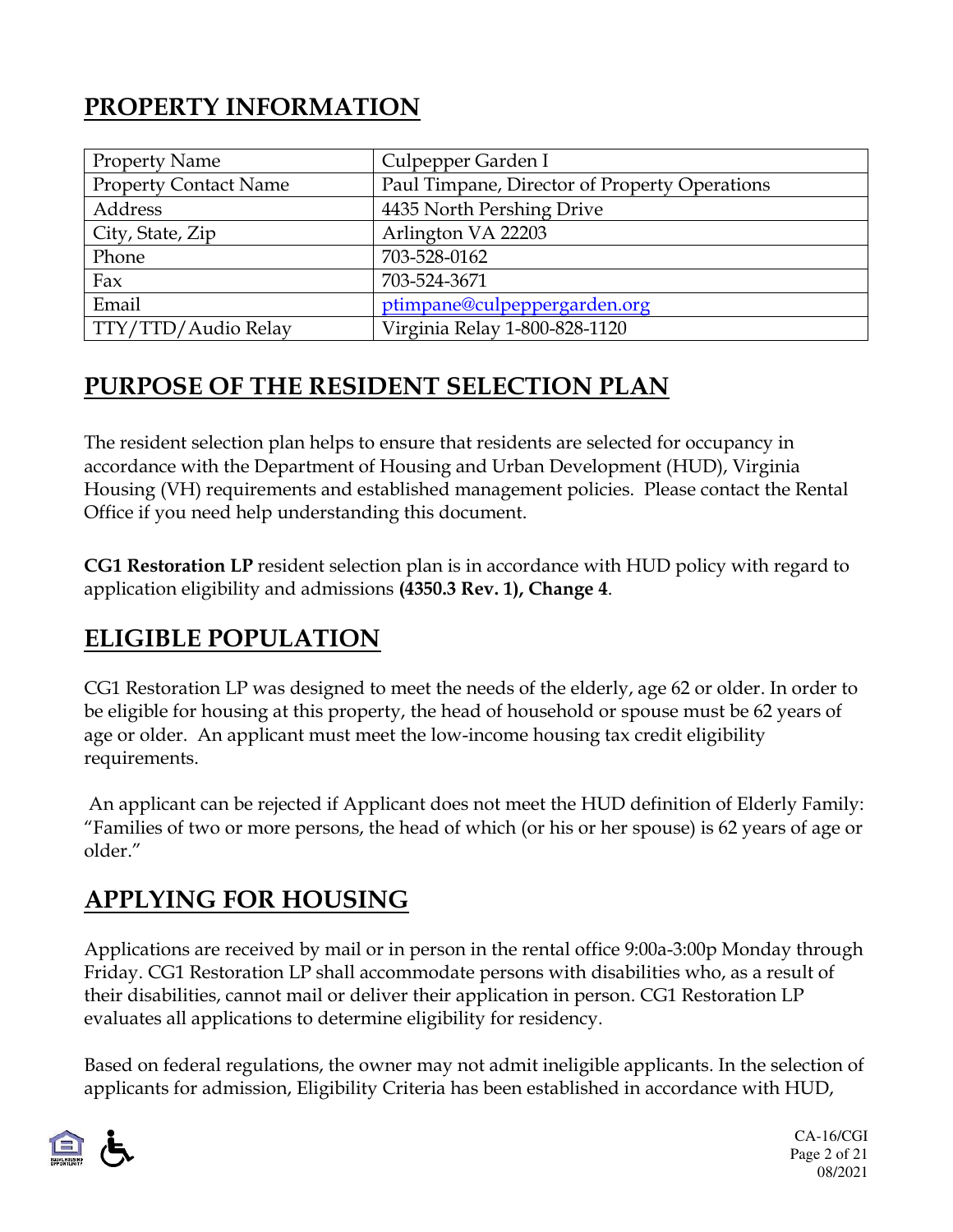# **PROPERTY INFORMATION**

| <b>Property Name</b>         | Culpepper Garden I                            |
|------------------------------|-----------------------------------------------|
| <b>Property Contact Name</b> | Paul Timpane, Director of Property Operations |
| Address                      | 4435 North Pershing Drive                     |
| City, State, Zip             | Arlington VA 22203                            |
| Phone                        | 703-528-0162                                  |
| Fax                          | 703-524-3671                                  |
| Email                        | ptimpane@culpeppergarden.org                  |
| TTY/TTD/Audio Relay          | Virginia Relay 1-800-828-1120                 |

## **PURPOSE OF THE RESIDENT SELECTION PLAN**

The resident selection plan helps to ensure that residents are selected for occupancy in accordance with the Department of Housing and Urban Development (HUD), Virginia Housing (VH) requirements and established management policies. Please contact the Rental Office if you need help understanding this document.

**CG1 Restoration LP** resident selection plan is in accordance with HUD policy with regard to application eligibility and admissions **(4350.3 Rev. 1), Change 4**.

## **ELIGIBLE POPULATION**

CG1 Restoration LP was designed to meet the needs of the elderly, age 62 or older. In order to be eligible for housing at this property, the head of household or spouse must be 62 years of age or older. An applicant must meet the low-income housing tax credit eligibility requirements.

 An applicant can be rejected if Applicant does not meet the HUD definition of Elderly Family: "Families of two or more persons, the head of which (or his or her spouse) is 62 years of age or older."

## **APPLYING FOR HOUSING**

Applications are received by mail or in person in the rental office 9:00a-3:00p Monday through Friday. CG1 Restoration LP shall accommodate persons with disabilities who, as a result of their disabilities, cannot mail or deliver their application in person. CG1 Restoration LP evaluates all applications to determine eligibility for residency.

Based on federal regulations, the owner may not admit ineligible applicants. In the selection of applicants for admission, Eligibility Criteria has been established in accordance with HUD,

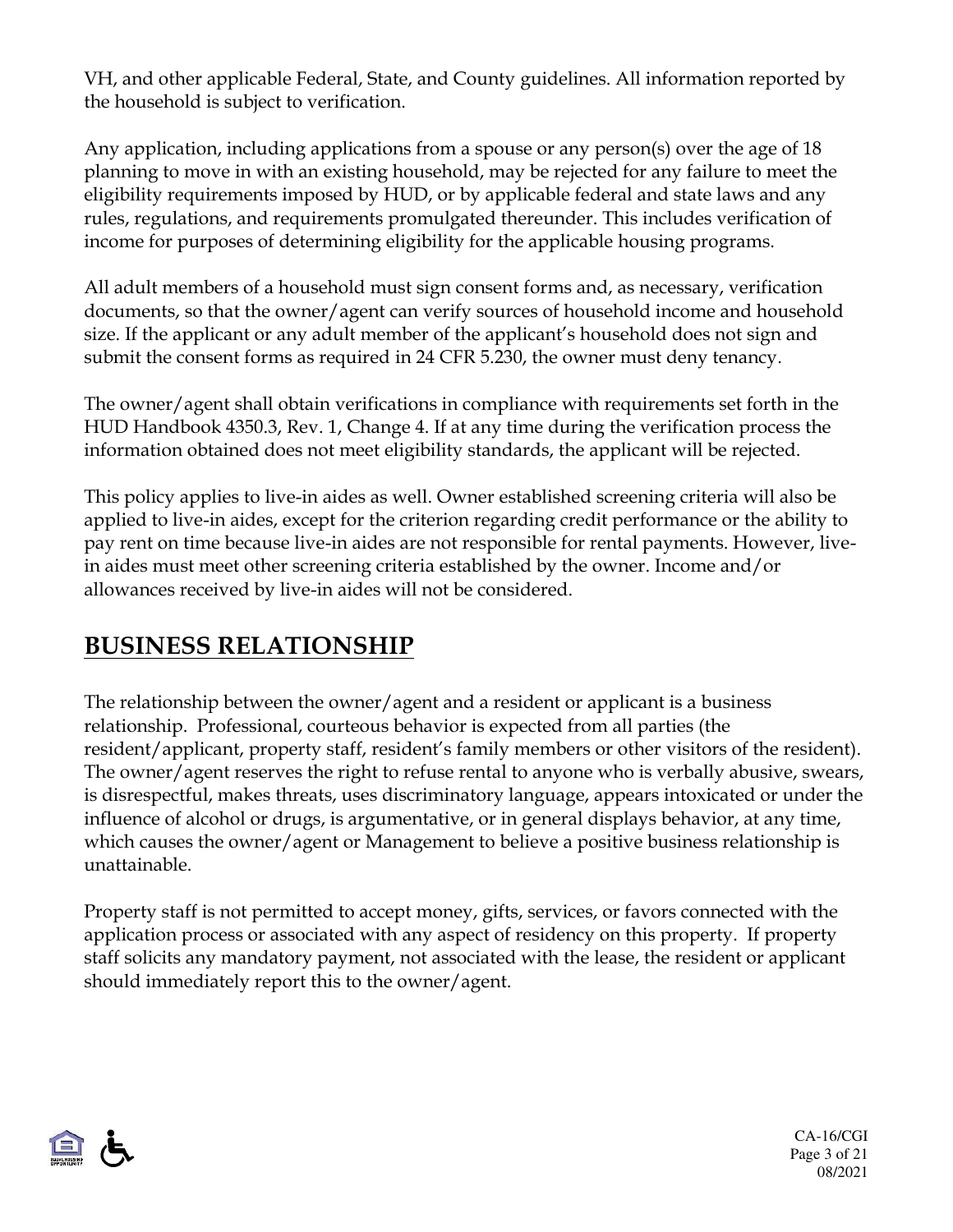VH, and other applicable Federal, State, and County guidelines. All information reported by the household is subject to verification.

Any application, including applications from a spouse or any person(s) over the age of 18 planning to move in with an existing household, may be rejected for any failure to meet the eligibility requirements imposed by HUD, or by applicable federal and state laws and any rules, regulations, and requirements promulgated thereunder. This includes verification of income for purposes of determining eligibility for the applicable housing programs.

All adult members of a household must sign consent forms and, as necessary, verification documents, so that the owner/agent can verify sources of household income and household size. If the applicant or any adult member of the applicant's household does not sign and submit the consent forms as required in 24 CFR 5.230, the owner must deny tenancy.

The owner/agent shall obtain verifications in compliance with requirements set forth in the HUD Handbook 4350.3, Rev. 1, Change 4. If at any time during the verification process the information obtained does not meet eligibility standards, the applicant will be rejected.

This policy applies to live-in aides as well. Owner established screening criteria will also be applied to live-in aides, except for the criterion regarding credit performance or the ability to pay rent on time because live-in aides are not responsible for rental payments. However, livein aides must meet other screening criteria established by the owner. Income and/or allowances received by live-in aides will not be considered.

### **BUSINESS RELATIONSHIP**

The relationship between the owner/agent and a resident or applicant is a business relationship. Professional, courteous behavior is expected from all parties (the resident/applicant, property staff, resident's family members or other visitors of the resident). The owner/agent reserves the right to refuse rental to anyone who is verbally abusive, swears, is disrespectful, makes threats, uses discriminatory language, appears intoxicated or under the influence of alcohol or drugs, is argumentative, or in general displays behavior, at any time, which causes the owner/agent or Management to believe a positive business relationship is unattainable.

Property staff is not permitted to accept money, gifts, services, or favors connected with the application process or associated with any aspect of residency on this property. If property staff solicits any mandatory payment, not associated with the lease, the resident or applicant should immediately report this to the owner/agent.



CA-16/CGI Page 3 of 21 08/2021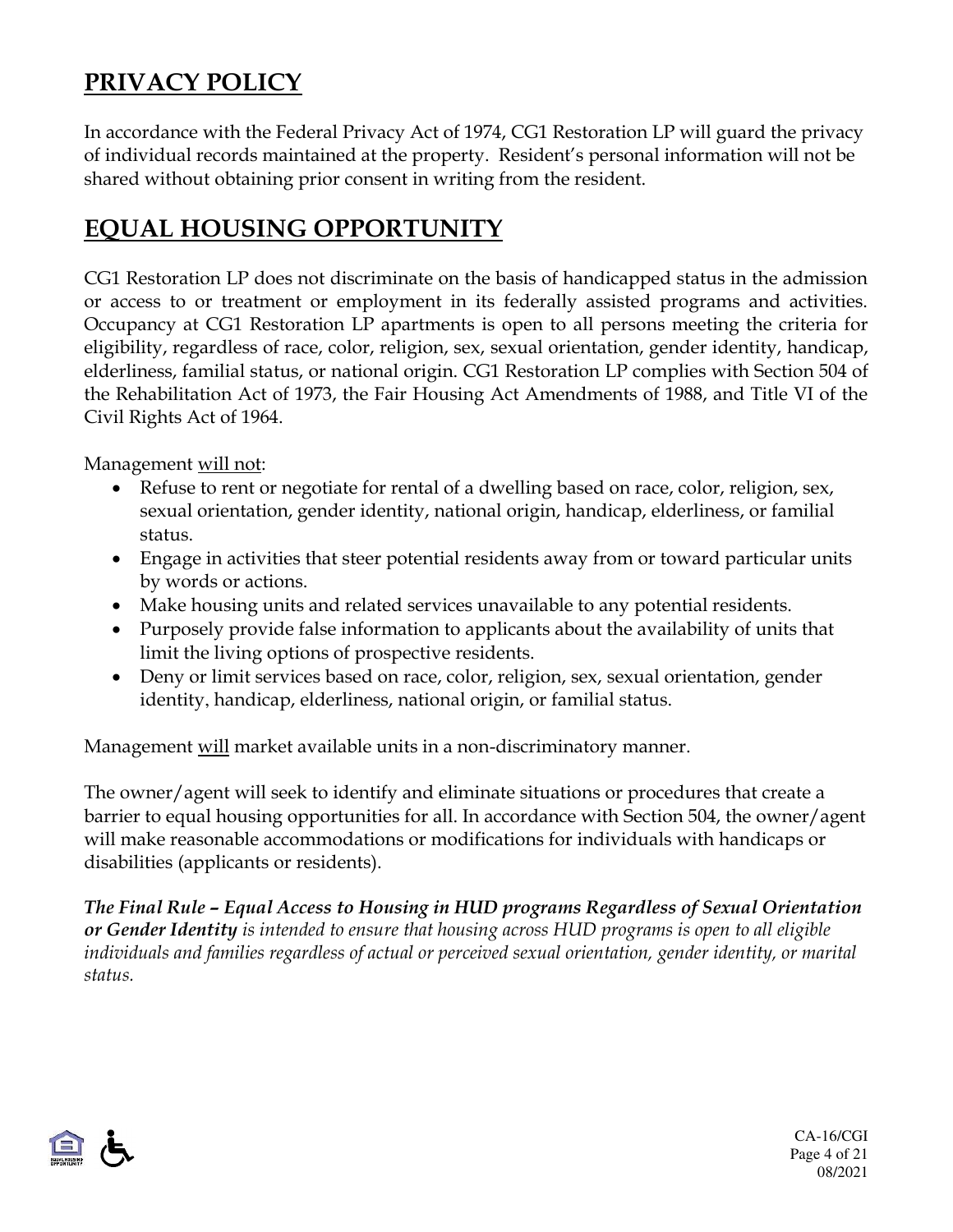## **PRIVACY POLICY**

In accordance with the Federal Privacy Act of 1974, CG1 Restoration LP will guard the privacy of individual records maintained at the property. Resident's personal information will not be shared without obtaining prior consent in writing from the resident.

#### **EQUAL HOUSING OPPORTUNITY**

CG1 Restoration LP does not discriminate on the basis of handicapped status in the admission or access to or treatment or employment in its federally assisted programs and activities. Occupancy at CG1 Restoration LP apartments is open to all persons meeting the criteria for eligibility, regardless of race, color, religion, sex, sexual orientation, gender identity, handicap, elderliness, familial status, or national origin. CG1 Restoration LP complies with Section 504 of the Rehabilitation Act of 1973, the Fair Housing Act Amendments of 1988, and Title VI of the Civil Rights Act of 1964.

Management will not:

- Refuse to rent or negotiate for rental of a dwelling based on race, color, religion, sex, sexual orientation, gender identity, national origin, handicap, elderliness, or familial status.
- Engage in activities that steer potential residents away from or toward particular units by words or actions.
- Make housing units and related services unavailable to any potential residents.
- Purposely provide false information to applicants about the availability of units that limit the living options of prospective residents.
- Deny or limit services based on race, color, religion, sex, sexual orientation, gender identity, handicap, elderliness, national origin, or familial status.

Management will market available units in a non-discriminatory manner.

The owner/agent will seek to identify and eliminate situations or procedures that create a barrier to equal housing opportunities for all. In accordance with Section 504, the owner/agent will make reasonable accommodations or modifications for individuals with handicaps or disabilities (applicants or residents).

*The Final Rule – Equal Access to Housing in HUD programs Regardless of Sexual Orientation or Gender Identity is intended to ensure that housing across HUD programs is open to all eligible individuals and families regardless of actual or perceived sexual orientation, gender identity, or marital status.* 

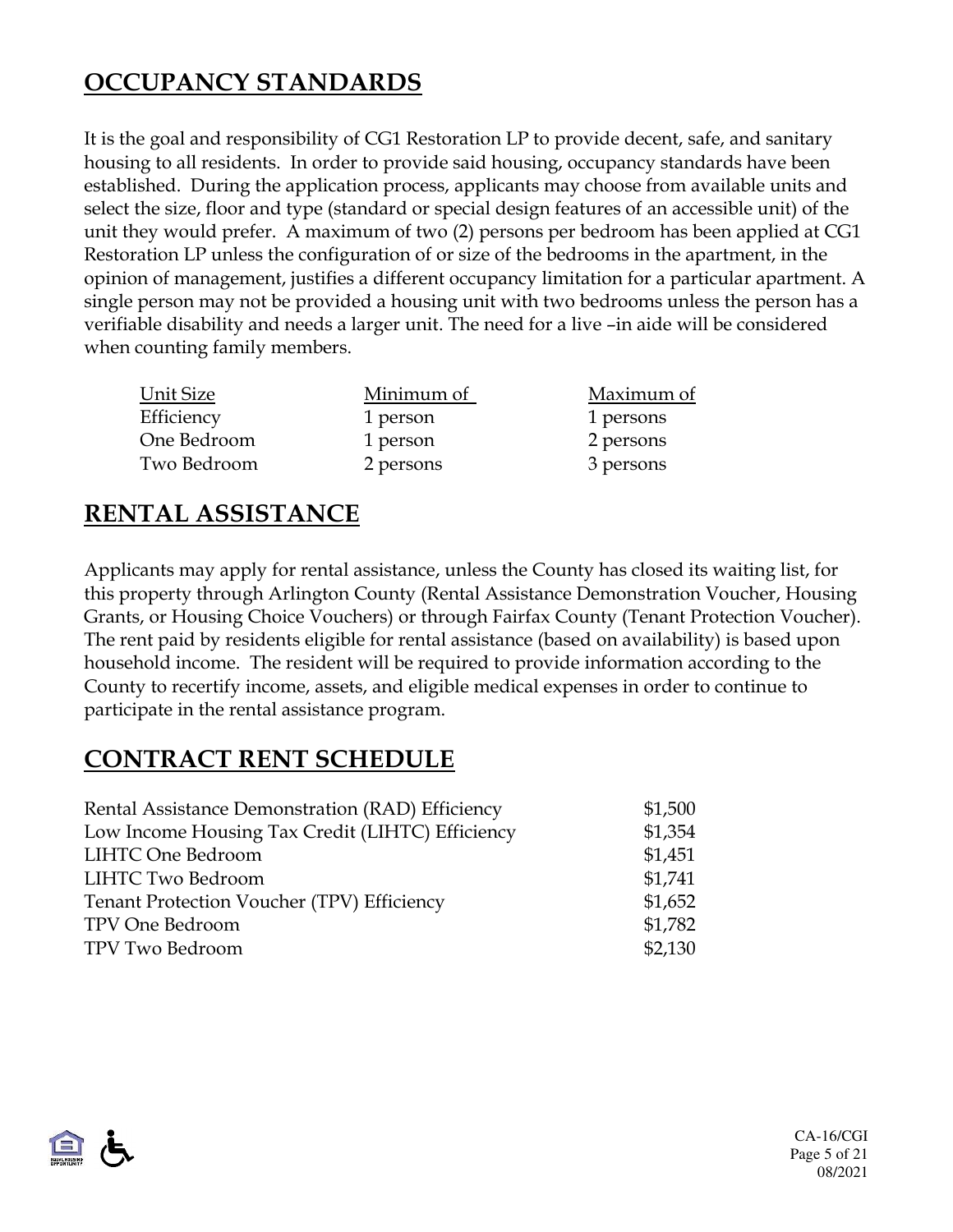## **OCCUPANCY STANDARDS**

It is the goal and responsibility of CG1 Restoration LP to provide decent, safe, and sanitary housing to all residents. In order to provide said housing, occupancy standards have been established. During the application process, applicants may choose from available units and select the size, floor and type (standard or special design features of an accessible unit) of the unit they would prefer. A maximum of two (2) persons per bedroom has been applied at CG1 Restoration LP unless the configuration of or size of the bedrooms in the apartment, in the opinion of management, justifies a different occupancy limitation for a particular apartment. A single person may not be provided a housing unit with two bedrooms unless the person has a verifiable disability and needs a larger unit. The need for a live –in aide will be considered when counting family members.

| Unit Size   | Minimum of | Maximum of |
|-------------|------------|------------|
| Efficiency  | 1 person   | 1 persons  |
| One Bedroom | 1 person   | 2 persons  |
| Two Bedroom | 2 persons  | 3 persons  |

### **RENTAL ASSISTANCE**

Applicants may apply for rental assistance, unless the County has closed its waiting list, for this property through Arlington County (Rental Assistance Demonstration Voucher, Housing Grants, or Housing Choice Vouchers) or through Fairfax County (Tenant Protection Voucher). The rent paid by residents eligible for rental assistance (based on availability) is based upon household income. The resident will be required to provide information according to the County to recertify income, assets, and eligible medical expenses in order to continue to participate in the rental assistance program.

### **CONTRACT RENT SCHEDULE**

| Rental Assistance Demonstration (RAD) Efficiency | \$1,500 |
|--------------------------------------------------|---------|
| Low Income Housing Tax Credit (LIHTC) Efficiency | \$1,354 |
| <b>LIHTC One Bedroom</b>                         | \$1,451 |
| <b>LIHTC Two Bedroom</b>                         | \$1,741 |
| Tenant Protection Voucher (TPV) Efficiency       | \$1,652 |
| TPV One Bedroom                                  | \$1,782 |
| TPV Two Bedroom                                  | \$2,130 |
|                                                  |         |

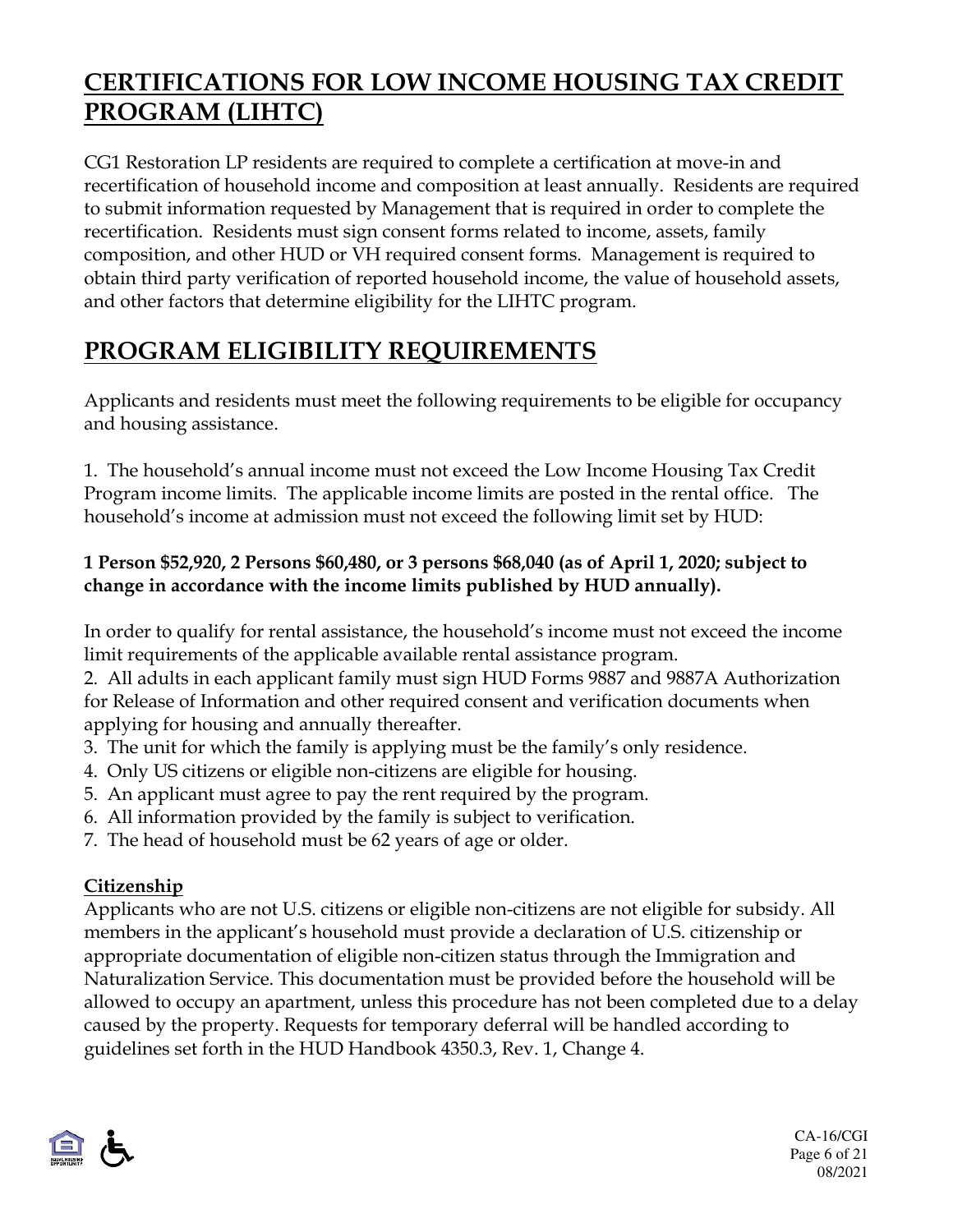## **CERTIFICATIONS FOR LOW INCOME HOUSING TAX CREDIT PROGRAM (LIHTC)**

CG1 Restoration LP residents are required to complete a certification at move-in and recertification of household income and composition at least annually. Residents are required to submit information requested by Management that is required in order to complete the recertification. Residents must sign consent forms related to income, assets, family composition, and other HUD or VH required consent forms. Management is required to obtain third party verification of reported household income, the value of household assets, and other factors that determine eligibility for the LIHTC program.

# **PROGRAM ELIGIBILITY REQUIREMENTS**

Applicants and residents must meet the following requirements to be eligible for occupancy and housing assistance.

1. The household's annual income must not exceed the Low Income Housing Tax Credit Program income limits. The applicable income limits are posted in the rental office. The household's income at admission must not exceed the following limit set by HUD:

#### **1 Person \$52,920, 2 Persons \$60,480, or 3 persons \$68,040 (as of April 1, 2020; subject to change in accordance with the income limits published by HUD annually).**

In order to qualify for rental assistance, the household's income must not exceed the income limit requirements of the applicable available rental assistance program.

2. All adults in each applicant family must sign HUD Forms 9887 and 9887A Authorization for Release of Information and other required consent and verification documents when applying for housing and annually thereafter.

- 3. The unit for which the family is applying must be the family's only residence.
- 4. Only US citizens or eligible non-citizens are eligible for housing.
- 5. An applicant must agree to pay the rent required by the program.
- 6. All information provided by the family is subject to verification.
- 7. The head of household must be 62 years of age or older.

#### **Citizenship**

Applicants who are not U.S. citizens or eligible non-citizens are not eligible for subsidy. All members in the applicant's household must provide a declaration of U.S. citizenship or appropriate documentation of eligible non-citizen status through the Immigration and Naturalization Service. This documentation must be provided before the household will be allowed to occupy an apartment, unless this procedure has not been completed due to a delay caused by the property. Requests for temporary deferral will be handled according to guidelines set forth in the HUD Handbook 4350.3, Rev. 1, Change 4.



CA-16/CGI Page 6 of 21 08/2021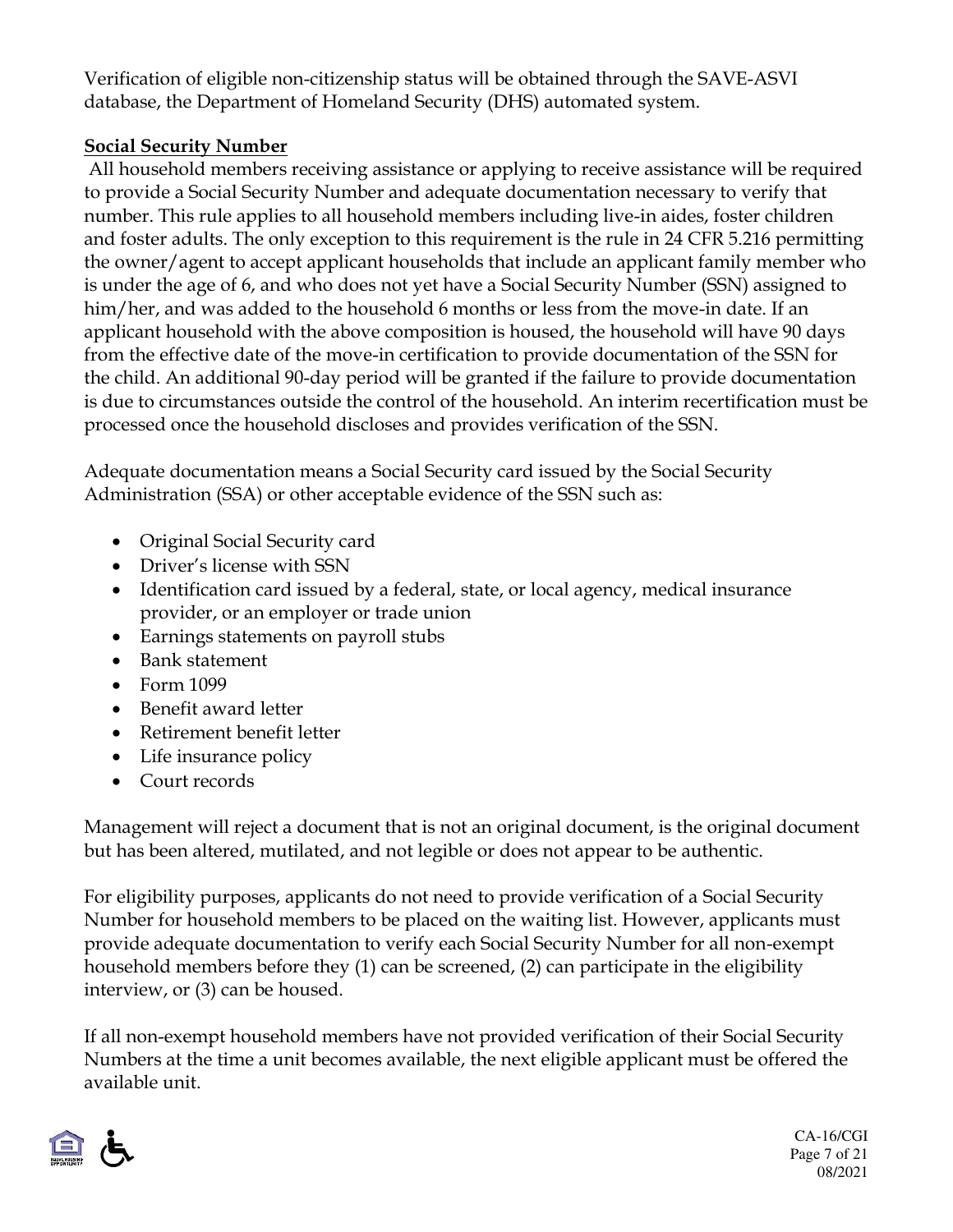Verification of eligible non-citizenship status will be obtained through the SAVE-ASVI database, the Department of Homeland Security (DHS) automated system.

#### **Social Security Number**

 All household members receiving assistance or applying to receive assistance will be required to provide a Social Security Number and adequate documentation necessary to verify that number. This rule applies to all household members including live-in aides, foster children and foster adults. The only exception to this requirement is the rule in 24 CFR 5.216 permitting the owner/agent to accept applicant households that include an applicant family member who is under the age of 6, and who does not yet have a Social Security Number (SSN) assigned to him/her, and was added to the household 6 months or less from the move-in date. If an applicant household with the above composition is housed, the household will have 90 days from the effective date of the move-in certification to provide documentation of the SSN for the child. An additional 90-day period will be granted if the failure to provide documentation is due to circumstances outside the control of the household. An interim recertification must be processed once the household discloses and provides verification of the SSN.

Adequate documentation means a Social Security card issued by the Social Security Administration (SSA) or other acceptable evidence of the SSN such as:

- Original Social Security card
- Driver's license with SSN
- Identification card issued by a federal, state, or local agency, medical insurance provider, or an employer or trade union
- Earnings statements on payroll stubs
- Bank statement
- Form 1099
- Benefit award letter
- Retirement benefit letter
- Life insurance policy
- Court records

Management will reject a document that is not an original document, is the original document but has been altered, mutilated, and not legible or does not appear to be authentic.

For eligibility purposes, applicants do not need to provide verification of a Social Security Number for household members to be placed on the waiting list. However, applicants must provide adequate documentation to verify each Social Security Number for all non-exempt household members before they (1) can be screened, (2) can participate in the eligibility interview, or (3) can be housed.

If all non-exempt household members have not provided verification of their Social Security Numbers at the time a unit becomes available, the next eligible applicant must be offered the available unit.



CA-16/CGI Page 7 of 21 08/2021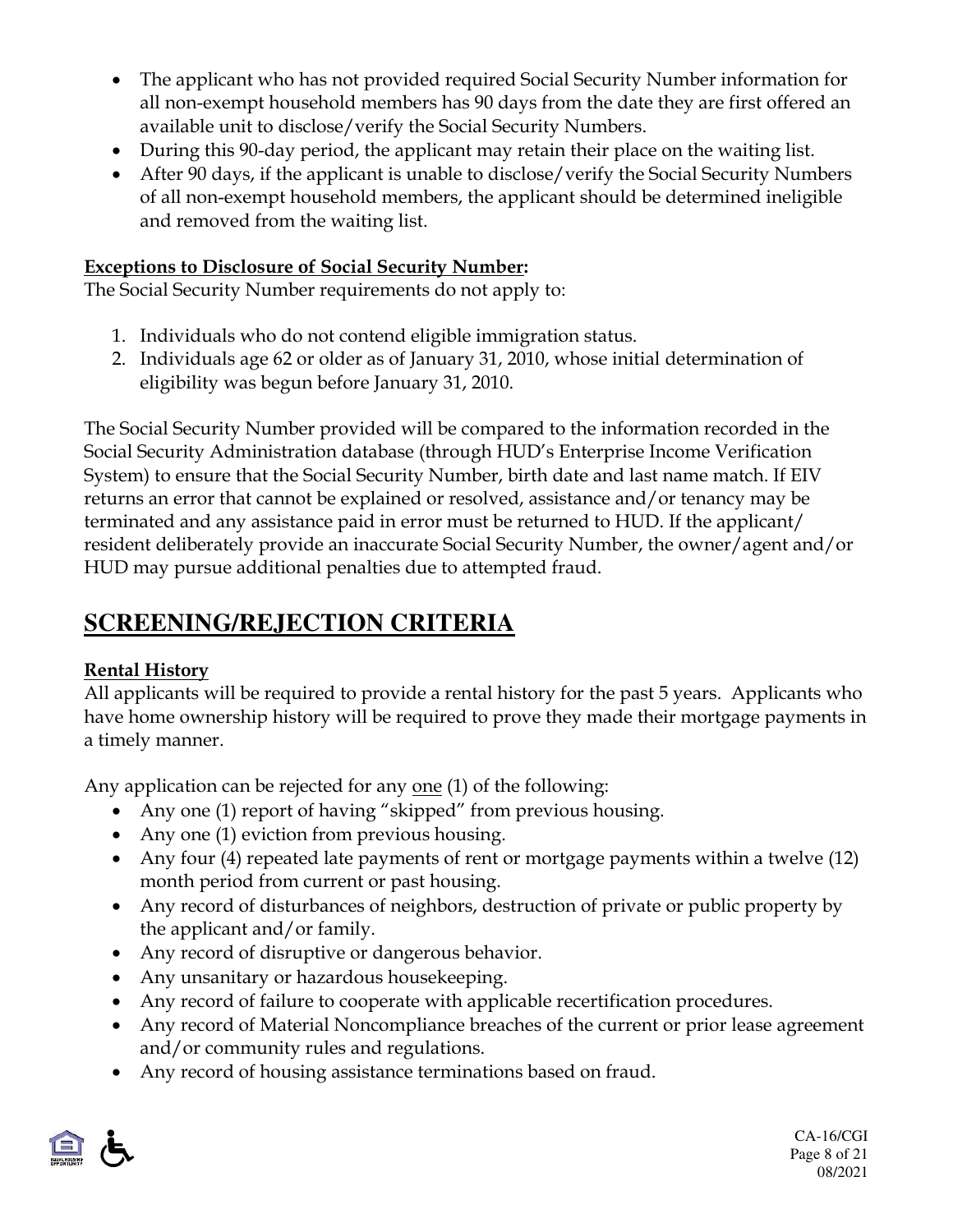- The applicant who has not provided required Social Security Number information for all non-exempt household members has 90 days from the date they are first offered an available unit to disclose/verify the Social Security Numbers.
- During this 90-day period, the applicant may retain their place on the waiting list.
- After 90 days, if the applicant is unable to disclose/verify the Social Security Numbers of all non-exempt household members, the applicant should be determined ineligible and removed from the waiting list.

#### **Exceptions to Disclosure of Social Security Number:**

The Social Security Number requirements do not apply to:

- 1. Individuals who do not contend eligible immigration status.
- 2. Individuals age 62 or older as of January 31, 2010, whose initial determination of eligibility was begun before January 31, 2010.

The Social Security Number provided will be compared to the information recorded in the Social Security Administration database (through HUD's Enterprise Income Verification System) to ensure that the Social Security Number, birth date and last name match. If EIV returns an error that cannot be explained or resolved, assistance and/or tenancy may be terminated and any assistance paid in error must be returned to HUD. If the applicant/ resident deliberately provide an inaccurate Social Security Number, the owner/agent and/or HUD may pursue additional penalties due to attempted fraud.

## **SCREENING/REJECTION CRITERIA**

#### **Rental History**

All applicants will be required to provide a rental history for the past 5 years. Applicants who have home ownership history will be required to prove they made their mortgage payments in a timely manner.

Any application can be rejected for any one (1) of the following:

- Any one (1) report of having "skipped" from previous housing.
- Any one (1) eviction from previous housing.
- Any four (4) repeated late payments of rent or mortgage payments within a twelve (12) month period from current or past housing.
- Any record of disturbances of neighbors, destruction of private or public property by the applicant and/or family.
- Any record of disruptive or dangerous behavior.
- Any unsanitary or hazardous housekeeping.
- Any record of failure to cooperate with applicable recertification procedures.
- Any record of Material Noncompliance breaches of the current or prior lease agreement and/or community rules and regulations.
- Any record of housing assistance terminations based on fraud.

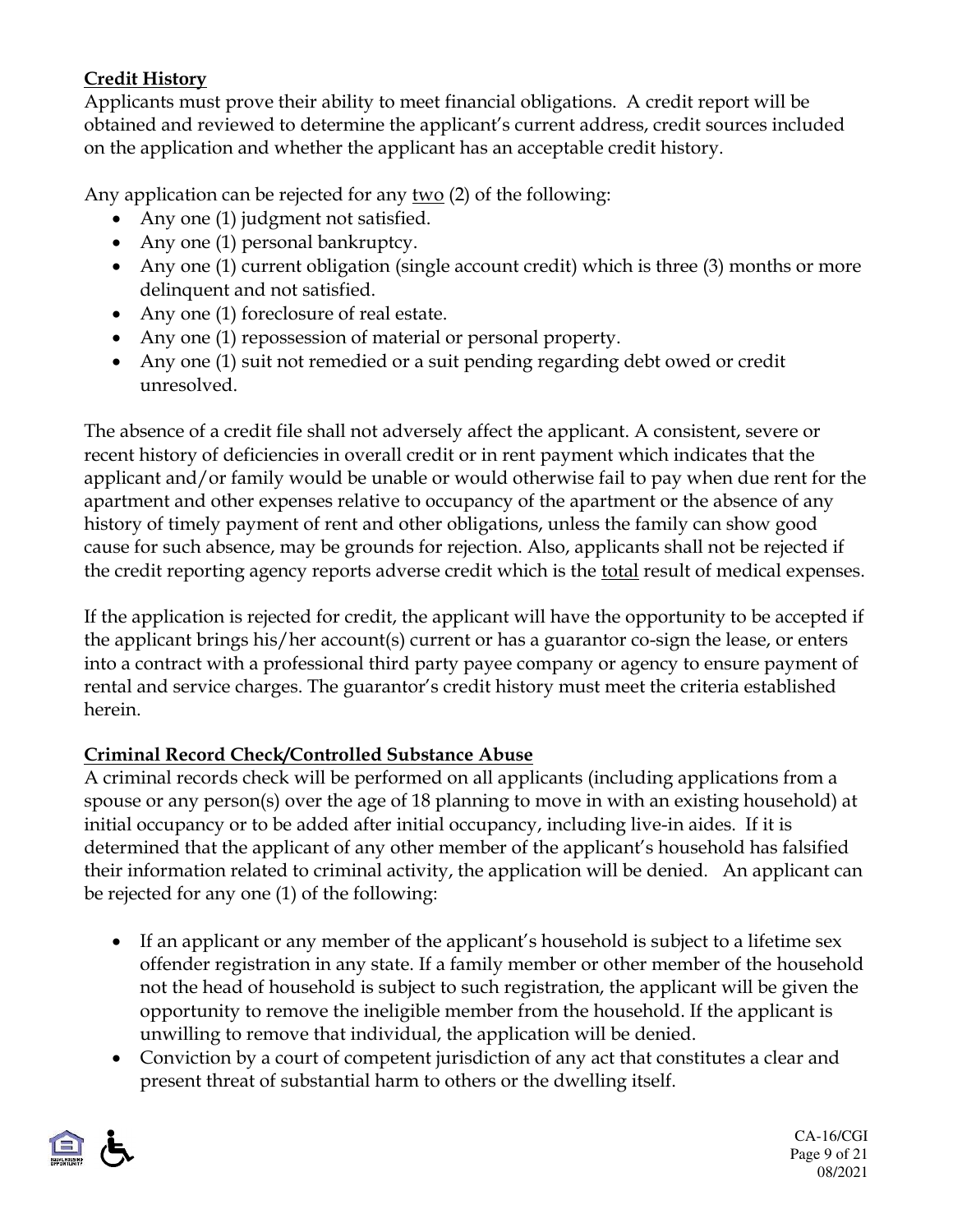#### **Credit History**

Applicants must prove their ability to meet financial obligations. A credit report will be obtained and reviewed to determine the applicant's current address, credit sources included on the application and whether the applicant has an acceptable credit history.

Any application can be rejected for any  $two$  (2) of the following:

- Any one (1) judgment not satisfied.
- Any one (1) personal bankruptcy.
- Any one (1) current obligation (single account credit) which is three (3) months or more delinquent and not satisfied.
- Any one (1) foreclosure of real estate.
- Any one (1) repossession of material or personal property.
- Any one (1) suit not remedied or a suit pending regarding debt owed or credit unresolved.

The absence of a credit file shall not adversely affect the applicant. A consistent, severe or recent history of deficiencies in overall credit or in rent payment which indicates that the applicant and/or family would be unable or would otherwise fail to pay when due rent for the apartment and other expenses relative to occupancy of the apartment or the absence of any history of timely payment of rent and other obligations, unless the family can show good cause for such absence, may be grounds for rejection. Also, applicants shall not be rejected if the credit reporting agency reports adverse credit which is the total result of medical expenses.

If the application is rejected for credit, the applicant will have the opportunity to be accepted if the applicant brings his/her account(s) current or has a guarantor co-sign the lease, or enters into a contract with a professional third party payee company or agency to ensure payment of rental and service charges. The guarantor's credit history must meet the criteria established herein.

#### **Criminal Record Check/Controlled Substance Abuse**

A criminal records check will be performed on all applicants (including applications from a spouse or any person(s) over the age of 18 planning to move in with an existing household) at initial occupancy or to be added after initial occupancy, including live-in aides. If it is determined that the applicant of any other member of the applicant's household has falsified their information related to criminal activity, the application will be denied. An applicant can be rejected for any one (1) of the following:

- If an applicant or any member of the applicant's household is subject to a lifetime sex offender registration in any state. If a family member or other member of the household not the head of household is subject to such registration, the applicant will be given the opportunity to remove the ineligible member from the household. If the applicant is unwilling to remove that individual, the application will be denied.
- Conviction by a court of competent jurisdiction of any act that constitutes a clear and present threat of substantial harm to others or the dwelling itself.



CA-16/CGI Page 9 of 21 08/2021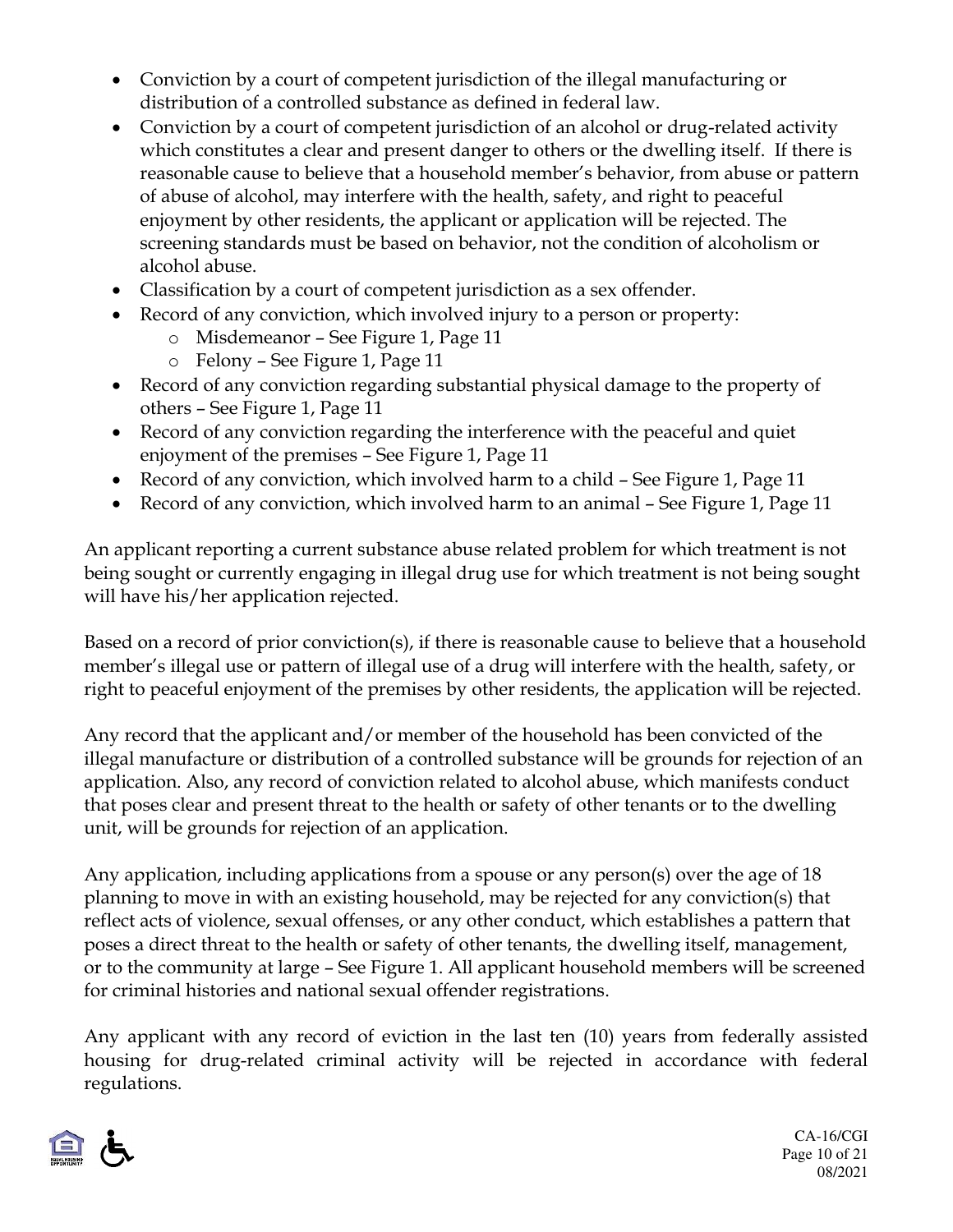- Conviction by a court of competent jurisdiction of the illegal manufacturing or distribution of a controlled substance as defined in federal law.
- Conviction by a court of competent jurisdiction of an alcohol or drug-related activity which constitutes a clear and present danger to others or the dwelling itself. If there is reasonable cause to believe that a household member's behavior, from abuse or pattern of abuse of alcohol, may interfere with the health, safety, and right to peaceful enjoyment by other residents, the applicant or application will be rejected. The screening standards must be based on behavior, not the condition of alcoholism or alcohol abuse.
- Classification by a court of competent jurisdiction as a sex offender.
- Record of any conviction, which involved injury to a person or property:
	- o Misdemeanor See Figure 1, Page 11
	- o Felony See Figure 1, Page 11
- Record of any conviction regarding substantial physical damage to the property of others – See Figure 1, Page 11
- Record of any conviction regarding the interference with the peaceful and quiet enjoyment of the premises – See Figure 1, Page 11
- Record of any conviction, which involved harm to a child See Figure 1, Page 11
- Record of any conviction, which involved harm to an animal See Figure 1, Page 11

An applicant reporting a current substance abuse related problem for which treatment is not being sought or currently engaging in illegal drug use for which treatment is not being sought will have his/her application rejected.

Based on a record of prior conviction(s), if there is reasonable cause to believe that a household member's illegal use or pattern of illegal use of a drug will interfere with the health, safety, or right to peaceful enjoyment of the premises by other residents, the application will be rejected.

Any record that the applicant and/or member of the household has been convicted of the illegal manufacture or distribution of a controlled substance will be grounds for rejection of an application. Also, any record of conviction related to alcohol abuse, which manifests conduct that poses clear and present threat to the health or safety of other tenants or to the dwelling unit, will be grounds for rejection of an application.

Any application, including applications from a spouse or any person(s) over the age of 18 planning to move in with an existing household, may be rejected for any conviction(s) that reflect acts of violence, sexual offenses, or any other conduct, which establishes a pattern that poses a direct threat to the health or safety of other tenants, the dwelling itself, management, or to the community at large – See Figure 1. All applicant household members will be screened for criminal histories and national sexual offender registrations.

Any applicant with any record of eviction in the last ten (10) years from federally assisted housing for drug-related criminal activity will be rejected in accordance with federal regulations.



CA-16/CGI Page 10 of 21 08/2021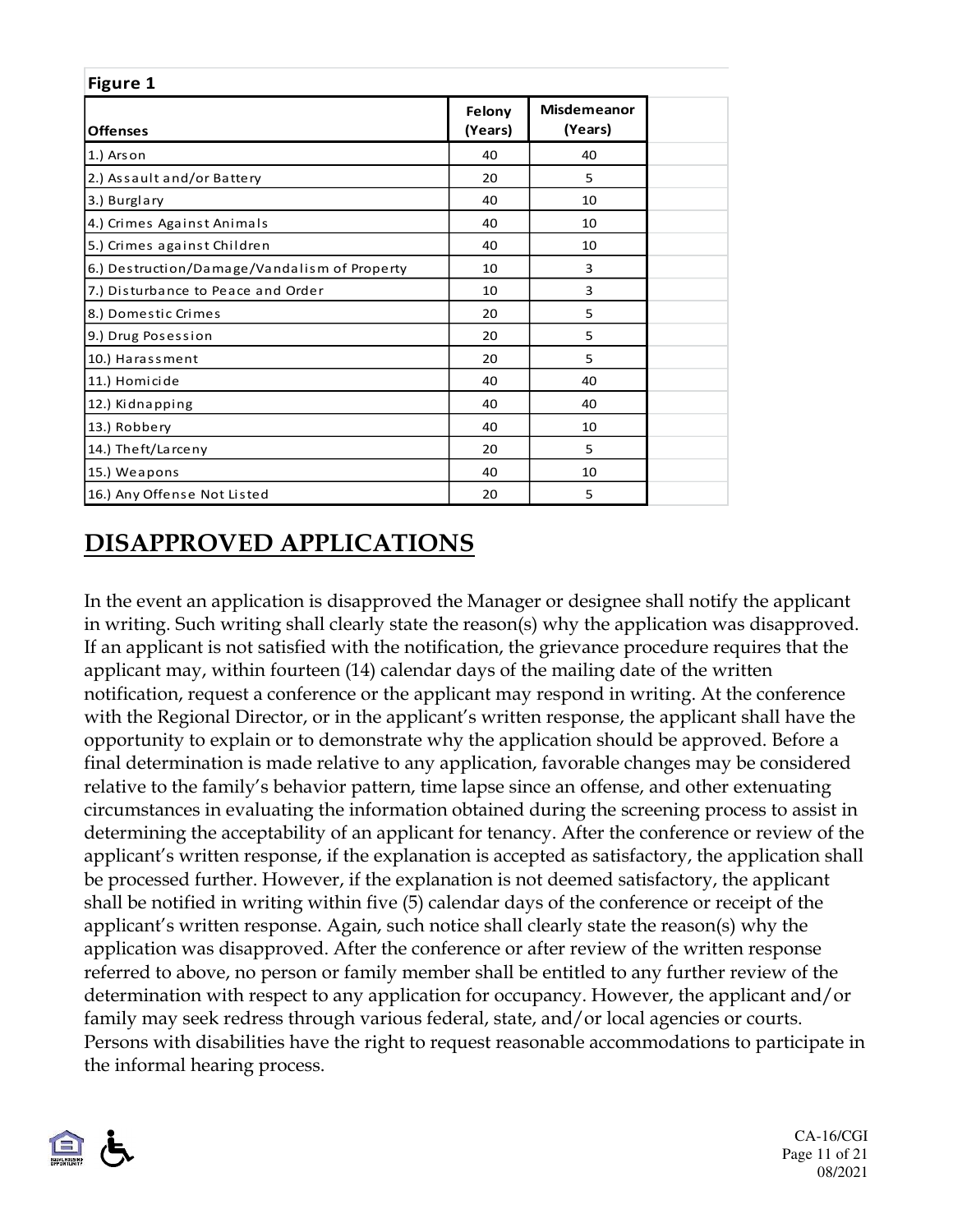| Figure 1                                     |                   |                               |  |  |
|----------------------------------------------|-------------------|-------------------------------|--|--|
| <b>Offenses</b>                              | Felony<br>(Years) | <b>Misdemeanor</b><br>(Years) |  |  |
| 1.) Ars on                                   | 40                | 40                            |  |  |
| 2.) Assault and/or Battery                   | 20                | 5                             |  |  |
| 3.) Burglary                                 | 40                | 10                            |  |  |
| 4.) Crimes Against Animals                   | 40                | 10                            |  |  |
| 5.) Crimes against Children                  | 40                | 10                            |  |  |
| 6.) Destruction/Damage/Vandalism of Property | 10                | 3                             |  |  |
| 7.) Disturbance to Peace and Order           | 10                | 3                             |  |  |
| 8.) Domestic Crimes                          | 20                | 5                             |  |  |
| 9.) Drug Posession                           | 20                | 5                             |  |  |
| 10.) Harassment                              | 20                | 5                             |  |  |
| 11.) Homicide                                | 40                | 40                            |  |  |
| 12.) Kidnapping                              | 40                | 40                            |  |  |
| 13.) Robbery                                 | 40                | 10                            |  |  |
| 14.) Theft/Larceny                           | 20                | 5                             |  |  |
| 15.) Weapons                                 | 40                | 10                            |  |  |
| 16.) Any Offense Not Listed                  | 20                | 5                             |  |  |

## **DISAPPROVED APPLICATIONS**

In the event an application is disapproved the Manager or designee shall notify the applicant in writing. Such writing shall clearly state the reason(s) why the application was disapproved. If an applicant is not satisfied with the notification, the grievance procedure requires that the applicant may, within fourteen (14) calendar days of the mailing date of the written notification, request a conference or the applicant may respond in writing. At the conference with the Regional Director, or in the applicant's written response, the applicant shall have the opportunity to explain or to demonstrate why the application should be approved. Before a final determination is made relative to any application, favorable changes may be considered relative to the family's behavior pattern, time lapse since an offense, and other extenuating circumstances in evaluating the information obtained during the screening process to assist in determining the acceptability of an applicant for tenancy. After the conference or review of the applicant's written response, if the explanation is accepted as satisfactory, the application shall be processed further. However, if the explanation is not deemed satisfactory, the applicant shall be notified in writing within five (5) calendar days of the conference or receipt of the applicant's written response. Again, such notice shall clearly state the reason(s) why the application was disapproved. After the conference or after review of the written response referred to above, no person or family member shall be entitled to any further review of the determination with respect to any application for occupancy. However, the applicant and/or family may seek redress through various federal, state, and/or local agencies or courts. Persons with disabilities have the right to request reasonable accommodations to participate in the informal hearing process.



CA-16/CGI Page 11 of 21 08/2021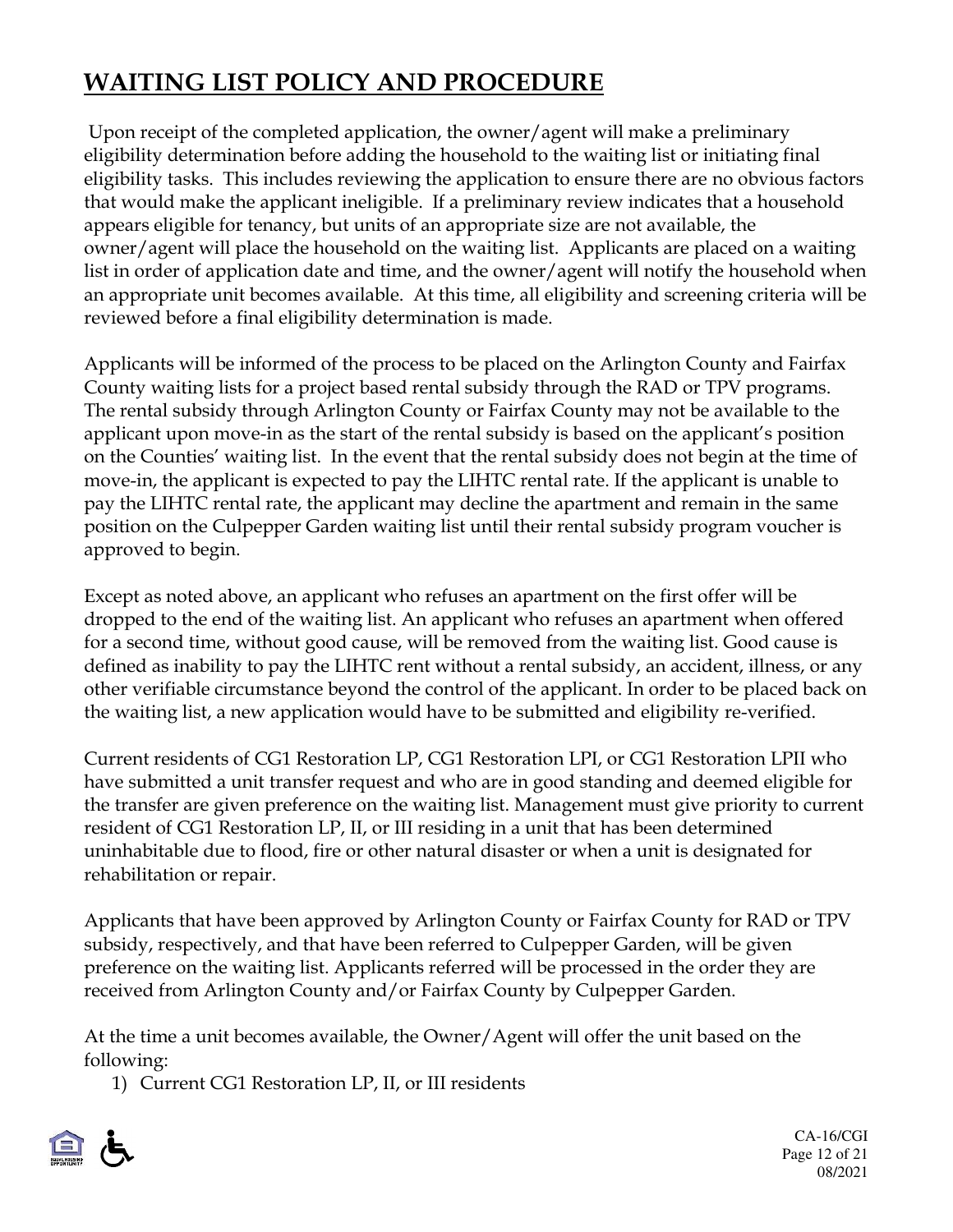# **WAITING LIST POLICY AND PROCEDURE**

 Upon receipt of the completed application, the owner/agent will make a preliminary eligibility determination before adding the household to the waiting list or initiating final eligibility tasks. This includes reviewing the application to ensure there are no obvious factors that would make the applicant ineligible. If a preliminary review indicates that a household appears eligible for tenancy, but units of an appropriate size are not available, the owner/agent will place the household on the waiting list. Applicants are placed on a waiting list in order of application date and time, and the owner/agent will notify the household when an appropriate unit becomes available. At this time, all eligibility and screening criteria will be reviewed before a final eligibility determination is made.

Applicants will be informed of the process to be placed on the Arlington County and Fairfax County waiting lists for a project based rental subsidy through the RAD or TPV programs. The rental subsidy through Arlington County or Fairfax County may not be available to the applicant upon move-in as the start of the rental subsidy is based on the applicant's position on the Counties' waiting list. In the event that the rental subsidy does not begin at the time of move-in, the applicant is expected to pay the LIHTC rental rate. If the applicant is unable to pay the LIHTC rental rate, the applicant may decline the apartment and remain in the same position on the Culpepper Garden waiting list until their rental subsidy program voucher is approved to begin.

Except as noted above, an applicant who refuses an apartment on the first offer will be dropped to the end of the waiting list. An applicant who refuses an apartment when offered for a second time, without good cause, will be removed from the waiting list. Good cause is defined as inability to pay the LIHTC rent without a rental subsidy, an accident, illness, or any other verifiable circumstance beyond the control of the applicant. In order to be placed back on the waiting list, a new application would have to be submitted and eligibility re-verified.

Current residents of CG1 Restoration LP, CG1 Restoration LPI, or CG1 Restoration LPII who have submitted a unit transfer request and who are in good standing and deemed eligible for the transfer are given preference on the waiting list. Management must give priority to current resident of CG1 Restoration LP, II, or III residing in a unit that has been determined uninhabitable due to flood, fire or other natural disaster or when a unit is designated for rehabilitation or repair.

Applicants that have been approved by Arlington County or Fairfax County for RAD or TPV subsidy, respectively, and that have been referred to Culpepper Garden, will be given preference on the waiting list. Applicants referred will be processed in the order they are received from Arlington County and/or Fairfax County by Culpepper Garden.

At the time a unit becomes available, the Owner/Agent will offer the unit based on the following:

1) Current CG1 Restoration LP, II, or III residents

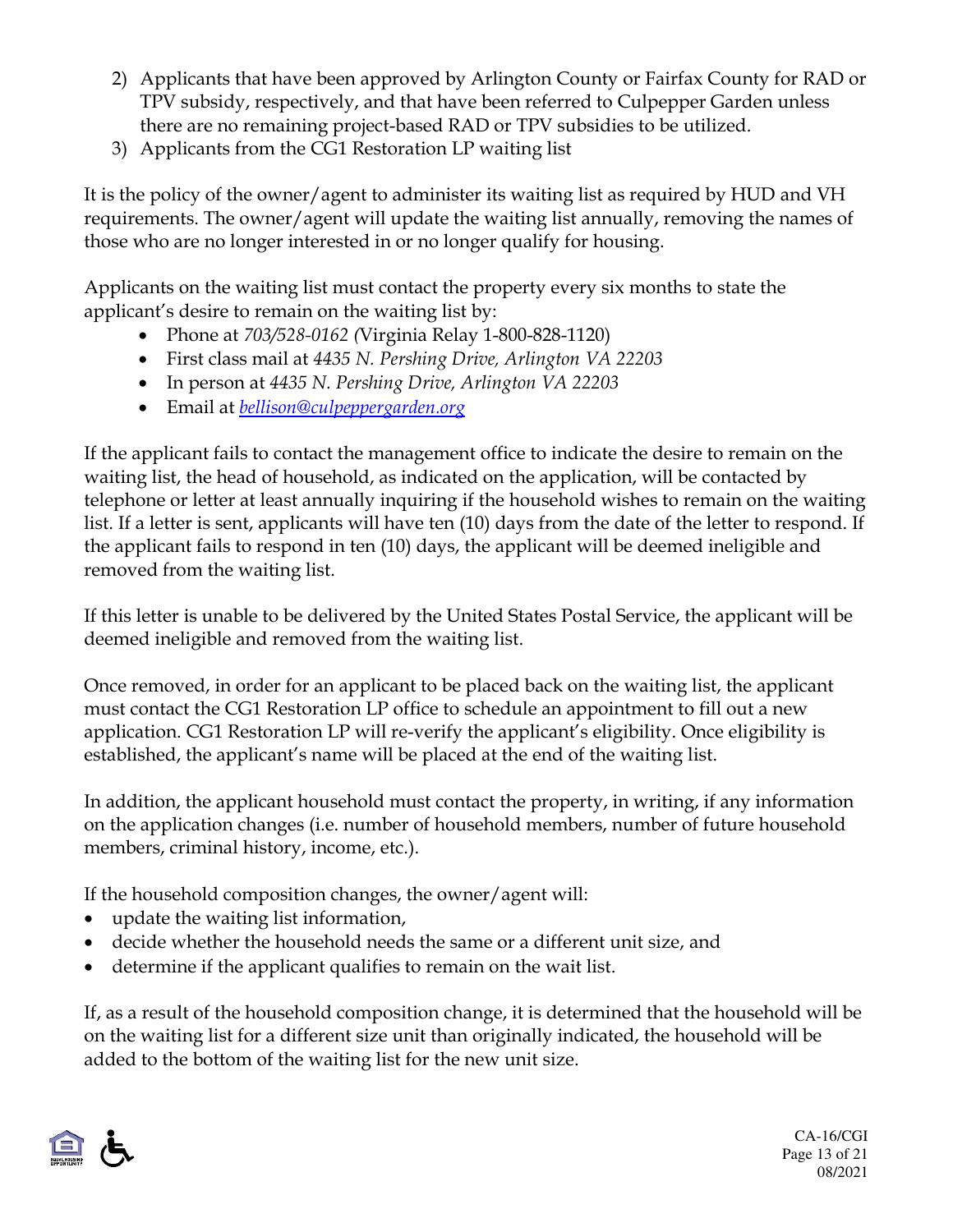- 2) Applicants that have been approved by Arlington County or Fairfax County for RAD or TPV subsidy, respectively, and that have been referred to Culpepper Garden unless there are no remaining project-based RAD or TPV subsidies to be utilized.
- 3) Applicants from the CG1 Restoration LP waiting list

It is the policy of the owner/agent to administer its waiting list as required by HUD and VH requirements. The owner/agent will update the waiting list annually, removing the names of those who are no longer interested in or no longer qualify for housing.

Applicants on the waiting list must contact the property every six months to state the applicant's desire to remain on the waiting list by:

- Phone at *703/528-0162 (*Virginia Relay 1-800-828-1120)
- First class mail at *4435 N. Pershing Drive, Arlington VA 22203*
- In person at *4435 N. Pershing Drive, Arlington VA 22203*
- Email at *bellison@culpeppergarden.org*

If the applicant fails to contact the management office to indicate the desire to remain on the waiting list, the head of household, as indicated on the application, will be contacted by telephone or letter at least annually inquiring if the household wishes to remain on the waiting list. If a letter is sent, applicants will have ten (10) days from the date of the letter to respond. If the applicant fails to respond in ten (10) days, the applicant will be deemed ineligible and removed from the waiting list.

If this letter is unable to be delivered by the United States Postal Service, the applicant will be deemed ineligible and removed from the waiting list.

Once removed, in order for an applicant to be placed back on the waiting list, the applicant must contact the CG1 Restoration LP office to schedule an appointment to fill out a new application. CG1 Restoration LP will re-verify the applicant's eligibility. Once eligibility is established, the applicant's name will be placed at the end of the waiting list.

In addition, the applicant household must contact the property, in writing, if any information on the application changes (i.e. number of household members, number of future household members, criminal history, income, etc.).

If the household composition changes, the owner/agent will:

- update the waiting list information,
- decide whether the household needs the same or a different unit size, and
- determine if the applicant qualifies to remain on the wait list.

If, as a result of the household composition change, it is determined that the household will be on the waiting list for a different size unit than originally indicated, the household will be added to the bottom of the waiting list for the new unit size.

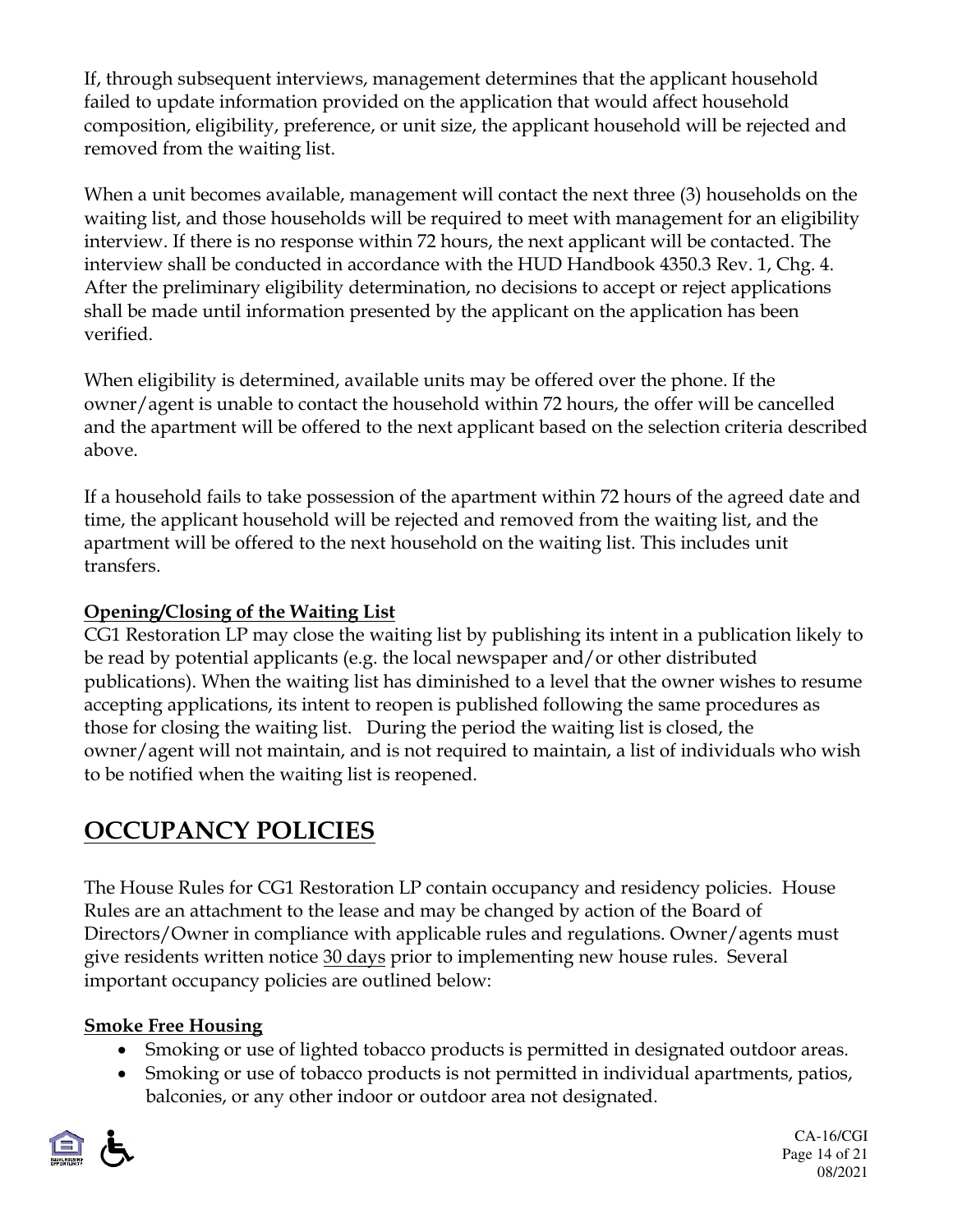If, through subsequent interviews, management determines that the applicant household failed to update information provided on the application that would affect household composition, eligibility, preference, or unit size, the applicant household will be rejected and removed from the waiting list.

When a unit becomes available, management will contact the next three (3) households on the waiting list, and those households will be required to meet with management for an eligibility interview. If there is no response within 72 hours, the next applicant will be contacted. The interview shall be conducted in accordance with the HUD Handbook 4350.3 Rev. 1, Chg. 4. After the preliminary eligibility determination, no decisions to accept or reject applications shall be made until information presented by the applicant on the application has been verified.

When eligibility is determined, available units may be offered over the phone. If the owner/agent is unable to contact the household within 72 hours, the offer will be cancelled and the apartment will be offered to the next applicant based on the selection criteria described above.

If a household fails to take possession of the apartment within 72 hours of the agreed date and time, the applicant household will be rejected and removed from the waiting list, and the apartment will be offered to the next household on the waiting list. This includes unit transfers.

#### **Opening/Closing of the Waiting List**

CG1 Restoration LP may close the waiting list by publishing its intent in a publication likely to be read by potential applicants (e.g. the local newspaper and/or other distributed publications). When the waiting list has diminished to a level that the owner wishes to resume accepting applications, its intent to reopen is published following the same procedures as those for closing the waiting list. During the period the waiting list is closed, the owner/agent will not maintain, and is not required to maintain, a list of individuals who wish to be notified when the waiting list is reopened.

# **OCCUPANCY POLICIES**

The House Rules for CG1 Restoration LP contain occupancy and residency policies. House Rules are an attachment to the lease and may be changed by action of the Board of Directors/Owner in compliance with applicable rules and regulations. Owner/agents must give residents written notice 30 days prior to implementing new house rules. Several important occupancy policies are outlined below:

#### **Smoke Free Housing**

- Smoking or use of lighted tobacco products is permitted in designated outdoor areas.
- Smoking or use of tobacco products is not permitted in individual apartments, patios, balconies, or any other indoor or outdoor area not designated.

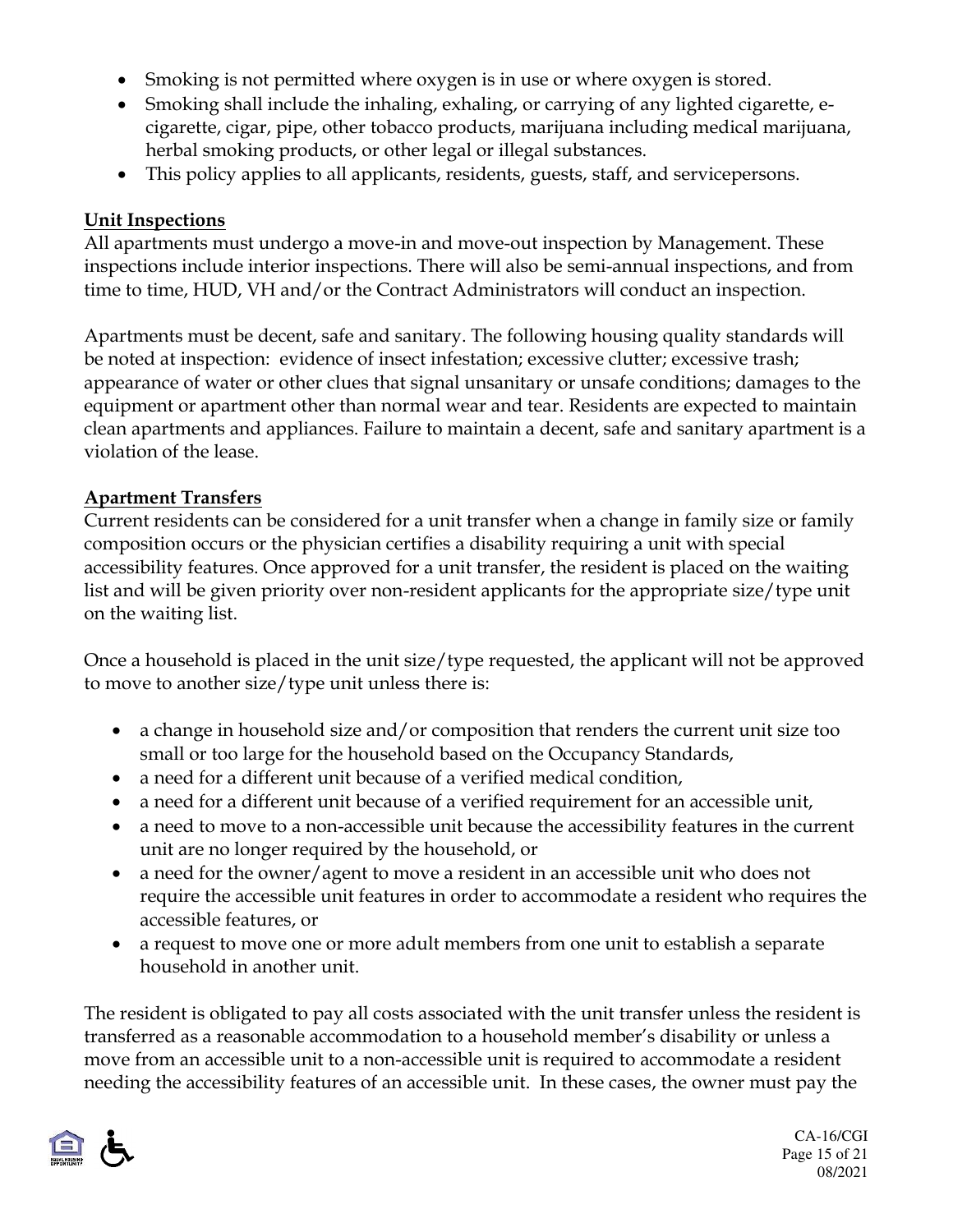- Smoking is not permitted where oxygen is in use or where oxygen is stored.
- Smoking shall include the inhaling, exhaling, or carrying of any lighted cigarette, ecigarette, cigar, pipe, other tobacco products, marijuana including medical marijuana, herbal smoking products, or other legal or illegal substances.
- This policy applies to all applicants, residents, guests, staff, and service persons.

#### **Unit Inspections**

All apartments must undergo a move-in and move-out inspection by Management. These inspections include interior inspections. There will also be semi-annual inspections, and from time to time, HUD, VH and/or the Contract Administrators will conduct an inspection.

Apartments must be decent, safe and sanitary. The following housing quality standards will be noted at inspection: evidence of insect infestation; excessive clutter; excessive trash; appearance of water or other clues that signal unsanitary or unsafe conditions; damages to the equipment or apartment other than normal wear and tear. Residents are expected to maintain clean apartments and appliances. Failure to maintain a decent, safe and sanitary apartment is a violation of the lease.

#### **Apartment Transfers**

Current residents can be considered for a unit transfer when a change in family size or family composition occurs or the physician certifies a disability requiring a unit with special accessibility features. Once approved for a unit transfer, the resident is placed on the waiting list and will be given priority over non-resident applicants for the appropriate size/type unit on the waiting list.

Once a household is placed in the unit size/type requested, the applicant will not be approved to move to another size/type unit unless there is:

- a change in household size and/or composition that renders the current unit size too small or too large for the household based on the Occupancy Standards,
- a need for a different unit because of a verified medical condition,
- a need for a different unit because of a verified requirement for an accessible unit,
- a need to move to a non-accessible unit because the accessibility features in the current unit are no longer required by the household, or
- a need for the owner/agent to move a resident in an accessible unit who does not require the accessible unit features in order to accommodate a resident who requires the accessible features, or
- a request to move one or more adult members from one unit to establish a separate household in another unit.

The resident is obligated to pay all costs associated with the unit transfer unless the resident is transferred as a reasonable accommodation to a household member's disability or unless a move from an accessible unit to a non-accessible unit is required to accommodate a resident needing the accessibility features of an accessible unit. In these cases, the owner must pay the

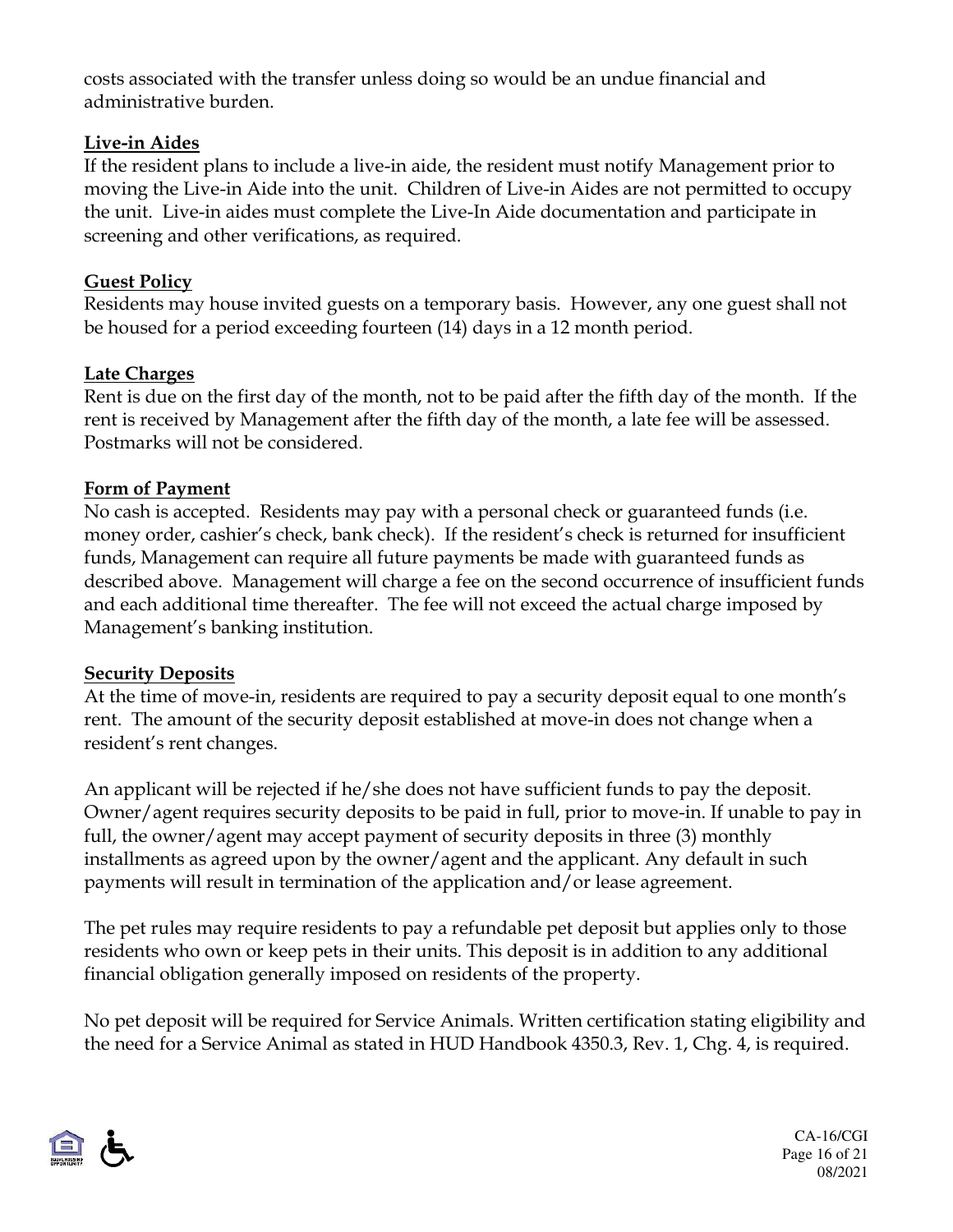costs associated with the transfer unless doing so would be an undue financial and administrative burden.

#### **Live-in Aides**

If the resident plans to include a live-in aide, the resident must notify Management prior to moving the Live-in Aide into the unit. Children of Live-in Aides are not permitted to occupy the unit. Live-in aides must complete the Live-In Aide documentation and participate in screening and other verifications, as required.

#### **Guest Policy**

Residents may house invited guests on a temporary basis. However, any one guest shall not be housed for a period exceeding fourteen (14) days in a 12 month period.

#### **Late Charges**

Rent is due on the first day of the month, not to be paid after the fifth day of the month. If the rent is received by Management after the fifth day of the month, a late fee will be assessed. Postmarks will not be considered.

#### **Form of Payment**

No cash is accepted. Residents may pay with a personal check or guaranteed funds (i.e. money order, cashier's check, bank check). If the resident's check is returned for insufficient funds, Management can require all future payments be made with guaranteed funds as described above. Management will charge a fee on the second occurrence of insufficient funds and each additional time thereafter. The fee will not exceed the actual charge imposed by Management's banking institution.

#### **Security Deposits**

At the time of move-in, residents are required to pay a security deposit equal to one month's rent. The amount of the security deposit established at move-in does not change when a resident's rent changes.

An applicant will be rejected if he/she does not have sufficient funds to pay the deposit. Owner/agent requires security deposits to be paid in full, prior to move-in. If unable to pay in full, the owner/agent may accept payment of security deposits in three (3) monthly installments as agreed upon by the owner/agent and the applicant. Any default in such payments will result in termination of the application and/or lease agreement.

The pet rules may require residents to pay a refundable pet deposit but applies only to those residents who own or keep pets in their units. This deposit is in addition to any additional financial obligation generally imposed on residents of the property.

No pet deposit will be required for Service Animals. Written certification stating eligibility and the need for a Service Animal as stated in HUD Handbook 4350.3, Rev. 1, Chg. 4, is required.



CA-16/CGI Page 16 of 21 08/2021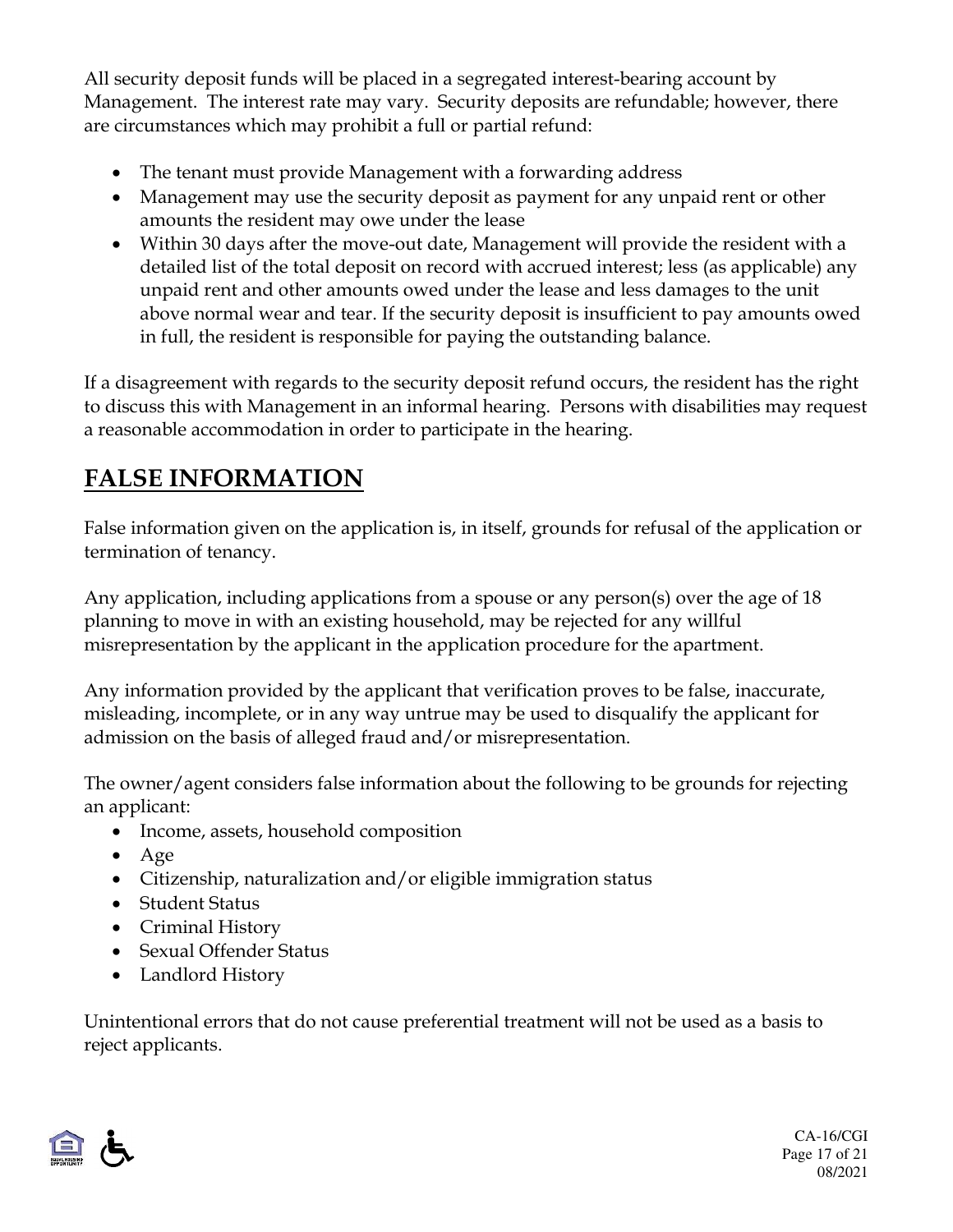All security deposit funds will be placed in a segregated interest-bearing account by Management. The interest rate may vary. Security deposits are refundable; however, there are circumstances which may prohibit a full or partial refund:

- The tenant must provide Management with a forwarding address
- Management may use the security deposit as payment for any unpaid rent or other amounts the resident may owe under the lease
- Within 30 days after the move-out date, Management will provide the resident with a detailed list of the total deposit on record with accrued interest; less (as applicable) any unpaid rent and other amounts owed under the lease and less damages to the unit above normal wear and tear. If the security deposit is insufficient to pay amounts owed in full, the resident is responsible for paying the outstanding balance.

If a disagreement with regards to the security deposit refund occurs, the resident has the right to discuss this with Management in an informal hearing. Persons with disabilities may request a reasonable accommodation in order to participate in the hearing.

# **FALSE INFORMATION**

False information given on the application is, in itself, grounds for refusal of the application or termination of tenancy.

Any application, including applications from a spouse or any person(s) over the age of 18 planning to move in with an existing household, may be rejected for any willful misrepresentation by the applicant in the application procedure for the apartment.

Any information provided by the applicant that verification proves to be false, inaccurate, misleading, incomplete, or in any way untrue may be used to disqualify the applicant for admission on the basis of alleged fraud and/or misrepresentation.

The owner/agent considers false information about the following to be grounds for rejecting an applicant:

- Income, assets, household composition
- Age
- Citizenship, naturalization and/or eligible immigration status
- Student Status
- Criminal History
- Sexual Offender Status
- Landlord History

Unintentional errors that do not cause preferential treatment will not be used as a basis to reject applicants.

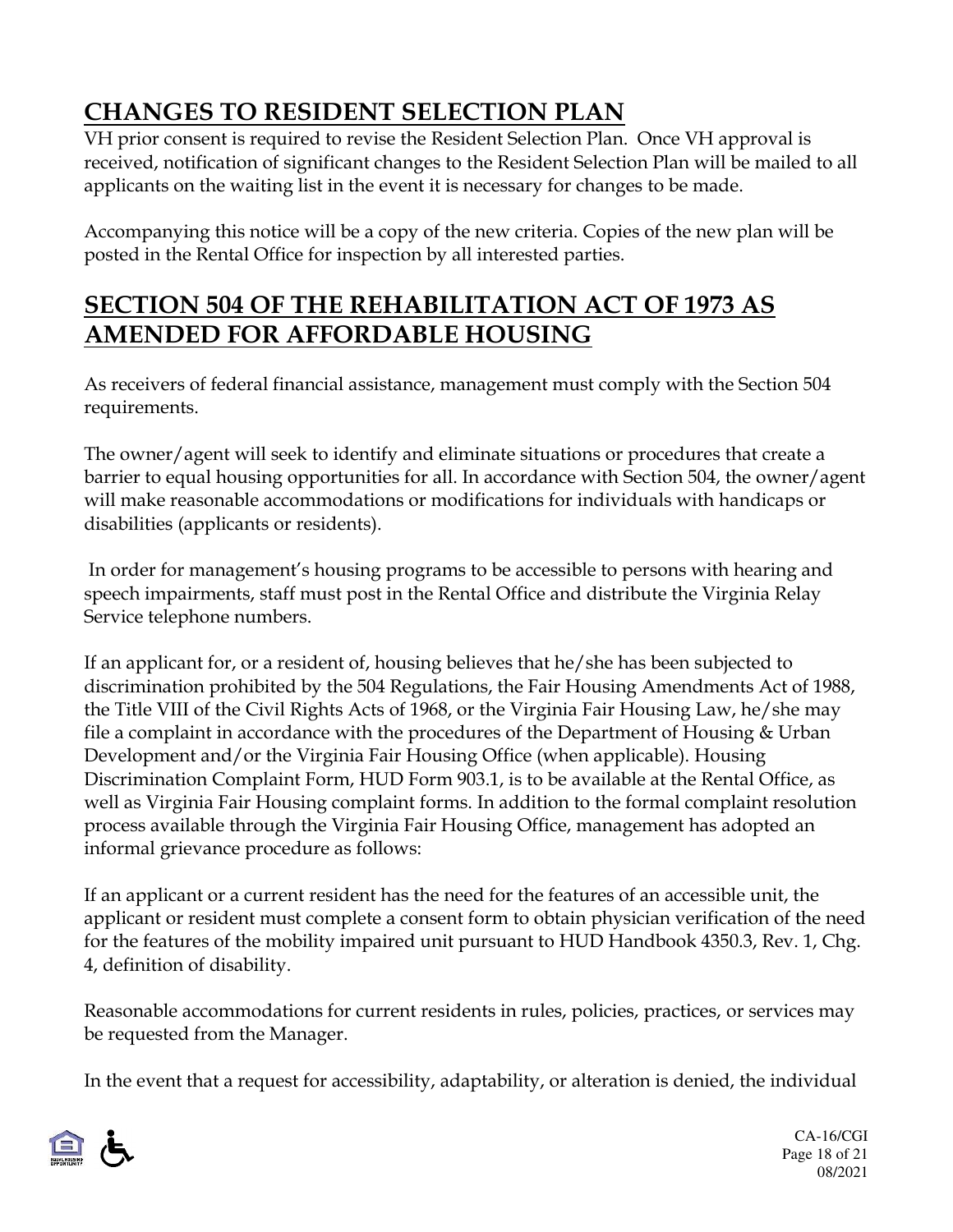# **CHANGES TO RESIDENT SELECTION PLAN**

VH prior consent is required to revise the Resident Selection Plan. Once VH approval is received, notification of significant changes to the Resident Selection Plan will be mailed to all applicants on the waiting list in the event it is necessary for changes to be made.

Accompanying this notice will be a copy of the new criteria. Copies of the new plan will be posted in the Rental Office for inspection by all interested parties.

## **SECTION 504 OF THE REHABILITATION ACT OF 1973 AS AMENDED FOR AFFORDABLE HOUSING**

As receivers of federal financial assistance, management must comply with the Section 504 requirements.

The owner/agent will seek to identify and eliminate situations or procedures that create a barrier to equal housing opportunities for all. In accordance with Section 504, the owner/agent will make reasonable accommodations or modifications for individuals with handicaps or disabilities (applicants or residents).

In order for management's housing programs to be accessible to persons with hearing and speech impairments, staff must post in the Rental Office and distribute the Virginia Relay Service telephone numbers.

If an applicant for, or a resident of, housing believes that he/she has been subjected to discrimination prohibited by the 504 Regulations, the Fair Housing Amendments Act of 1988, the Title VIII of the Civil Rights Acts of 1968, or the Virginia Fair Housing Law, he/she may file a complaint in accordance with the procedures of the Department of Housing & Urban Development and/or the Virginia Fair Housing Office (when applicable). Housing Discrimination Complaint Form, HUD Form 903.1, is to be available at the Rental Office, as well as Virginia Fair Housing complaint forms. In addition to the formal complaint resolution process available through the Virginia Fair Housing Office, management has adopted an informal grievance procedure as follows:

If an applicant or a current resident has the need for the features of an accessible unit, the applicant or resident must complete a consent form to obtain physician verification of the need for the features of the mobility impaired unit pursuant to HUD Handbook 4350.3, Rev. 1, Chg. 4, definition of disability.

Reasonable accommodations for current residents in rules, policies, practices, or services may be requested from the Manager.

In the event that a request for accessibility, adaptability, or alteration is denied, the individual

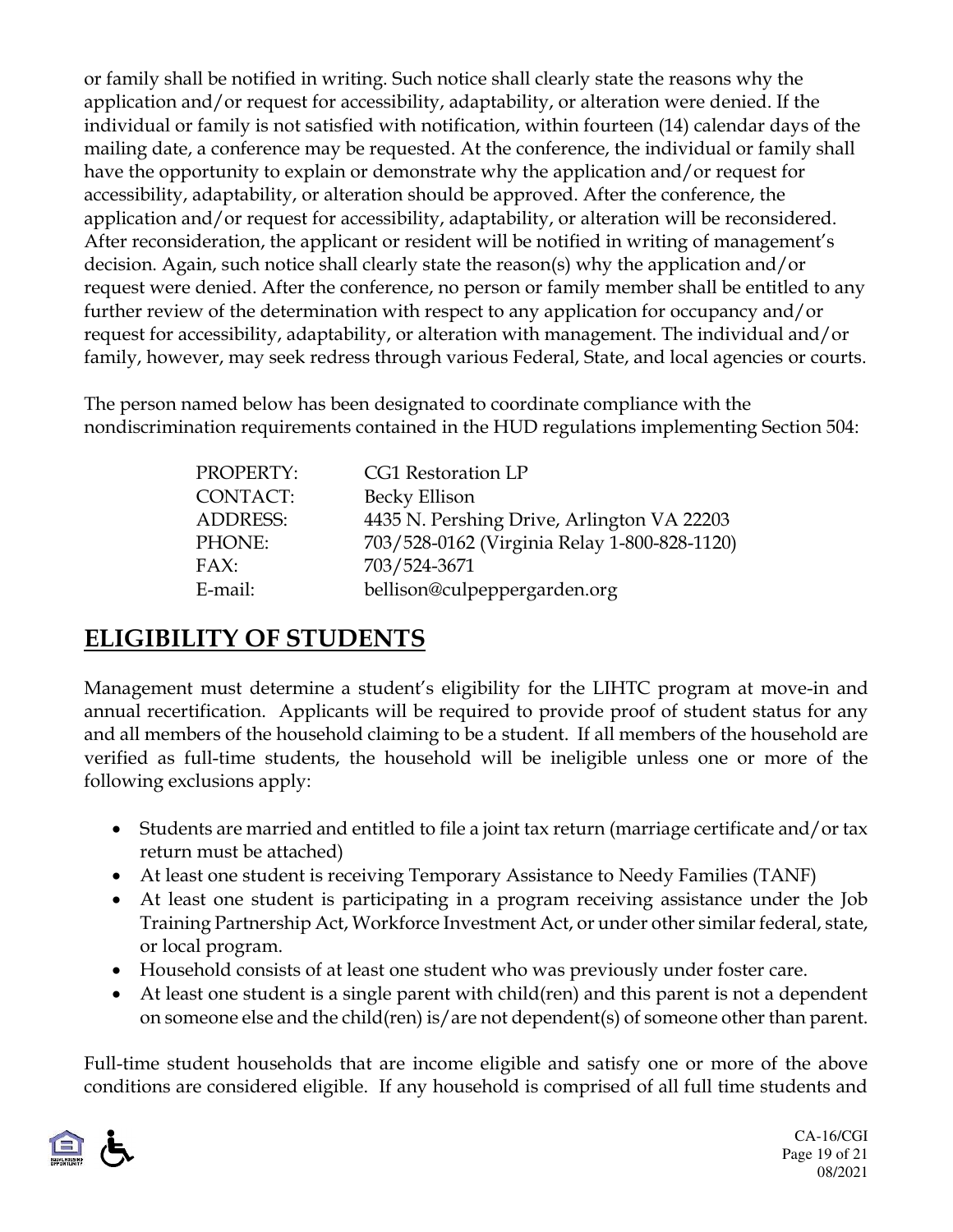or family shall be notified in writing. Such notice shall clearly state the reasons why the application and/or request for accessibility, adaptability, or alteration were denied. If the individual or family is not satisfied with notification, within fourteen (14) calendar days of the mailing date, a conference may be requested. At the conference, the individual or family shall have the opportunity to explain or demonstrate why the application and/or request for accessibility, adaptability, or alteration should be approved. After the conference, the application and/or request for accessibility, adaptability, or alteration will be reconsidered. After reconsideration, the applicant or resident will be notified in writing of management's decision. Again, such notice shall clearly state the reason(s) why the application and/or request were denied. After the conference, no person or family member shall be entitled to any further review of the determination with respect to any application for occupancy and/or request for accessibility, adaptability, or alteration with management. The individual and/or family, however, may seek redress through various Federal, State, and local agencies or courts.

The person named below has been designated to coordinate compliance with the nondiscrimination requirements contained in the HUD regulations implementing Section 504:

| PROPERTY:       | CG1 Restoration LP                           |
|-----------------|----------------------------------------------|
| <b>CONTACT:</b> | Becky Ellison                                |
| <b>ADDRESS:</b> | 4435 N. Pershing Drive, Arlington VA 22203   |
| PHONE:          | 703/528-0162 (Virginia Relay 1-800-828-1120) |
| FAX:            | 703/524-3671                                 |
| E-mail:         | bellison@culpeppergarden.org                 |

### **ELIGIBILITY OF STUDENTS**

Management must determine a student's eligibility for the LIHTC program at move-in and annual recertification. Applicants will be required to provide proof of student status for any and all members of the household claiming to be a student. If all members of the household are verified as full-time students, the household will be ineligible unless one or more of the following exclusions apply:

- Students are married and entitled to file a joint tax return (marriage certificate and/or tax return must be attached)
- At least one student is receiving Temporary Assistance to Needy Families (TANF)
- At least one student is participating in a program receiving assistance under the Job Training Partnership Act, Workforce Investment Act, or under other similar federal, state, or local program.
- Household consists of at least one student who was previously under foster care.
- At least one student is a single parent with child(ren) and this parent is not a dependent on someone else and the child(ren) is/are not dependent(s) of someone other than parent.

Full-time student households that are income eligible and satisfy one or more of the above conditions are considered eligible. If any household is comprised of all full time students and

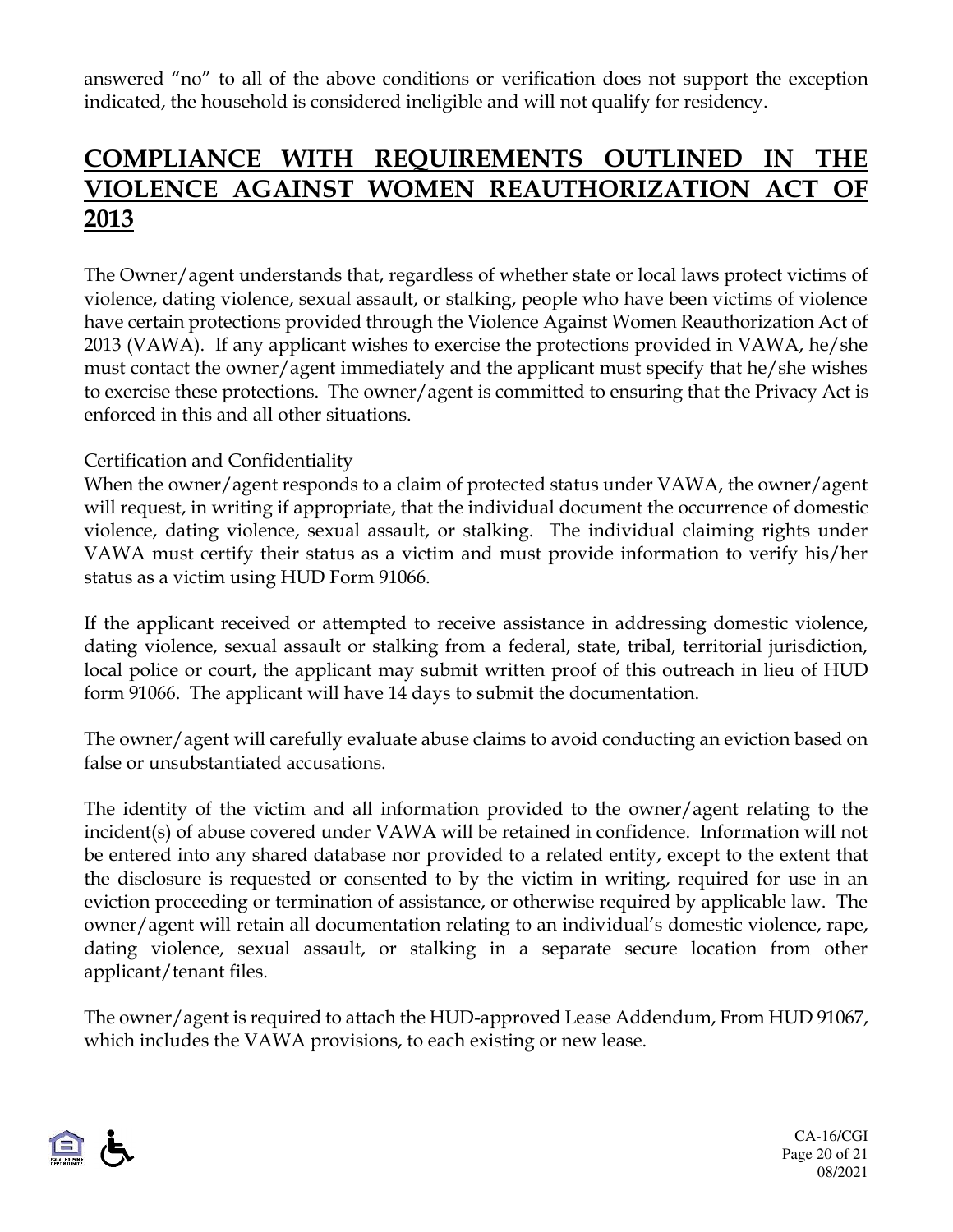answered "no" to all of the above conditions or verification does not support the exception indicated, the household is considered ineligible and will not qualify for residency.

### **COMPLIANCE WITH REQUIREMENTS OUTLINED IN THE VIOLENCE AGAINST WOMEN REAUTHORIZATION ACT OF 2013**

The Owner/agent understands that, regardless of whether state or local laws protect victims of violence, dating violence, sexual assault, or stalking, people who have been victims of violence have certain protections provided through the Violence Against Women Reauthorization Act of 2013 (VAWA). If any applicant wishes to exercise the protections provided in VAWA, he/she must contact the owner/agent immediately and the applicant must specify that he/she wishes to exercise these protections. The owner/agent is committed to ensuring that the Privacy Act is enforced in this and all other situations.

#### Certification and Confidentiality

When the owner/agent responds to a claim of protected status under VAWA, the owner/agent will request, in writing if appropriate, that the individual document the occurrence of domestic violence, dating violence, sexual assault, or stalking. The individual claiming rights under VAWA must certify their status as a victim and must provide information to verify his/her status as a victim using HUD Form 91066.

If the applicant received or attempted to receive assistance in addressing domestic violence, dating violence, sexual assault or stalking from a federal, state, tribal, territorial jurisdiction, local police or court, the applicant may submit written proof of this outreach in lieu of HUD form 91066. The applicant will have 14 days to submit the documentation.

The owner/agent will carefully evaluate abuse claims to avoid conducting an eviction based on false or unsubstantiated accusations.

The identity of the victim and all information provided to the owner/agent relating to the incident(s) of abuse covered under VAWA will be retained in confidence. Information will not be entered into any shared database nor provided to a related entity, except to the extent that the disclosure is requested or consented to by the victim in writing, required for use in an eviction proceeding or termination of assistance, or otherwise required by applicable law. The owner/agent will retain all documentation relating to an individual's domestic violence, rape, dating violence, sexual assault, or stalking in a separate secure location from other applicant/tenant files.

The owner/agent is required to attach the HUD-approved Lease Addendum, From HUD 91067, which includes the VAWA provisions, to each existing or new lease.



CA-16/CGI Page 20 of 21 08/2021